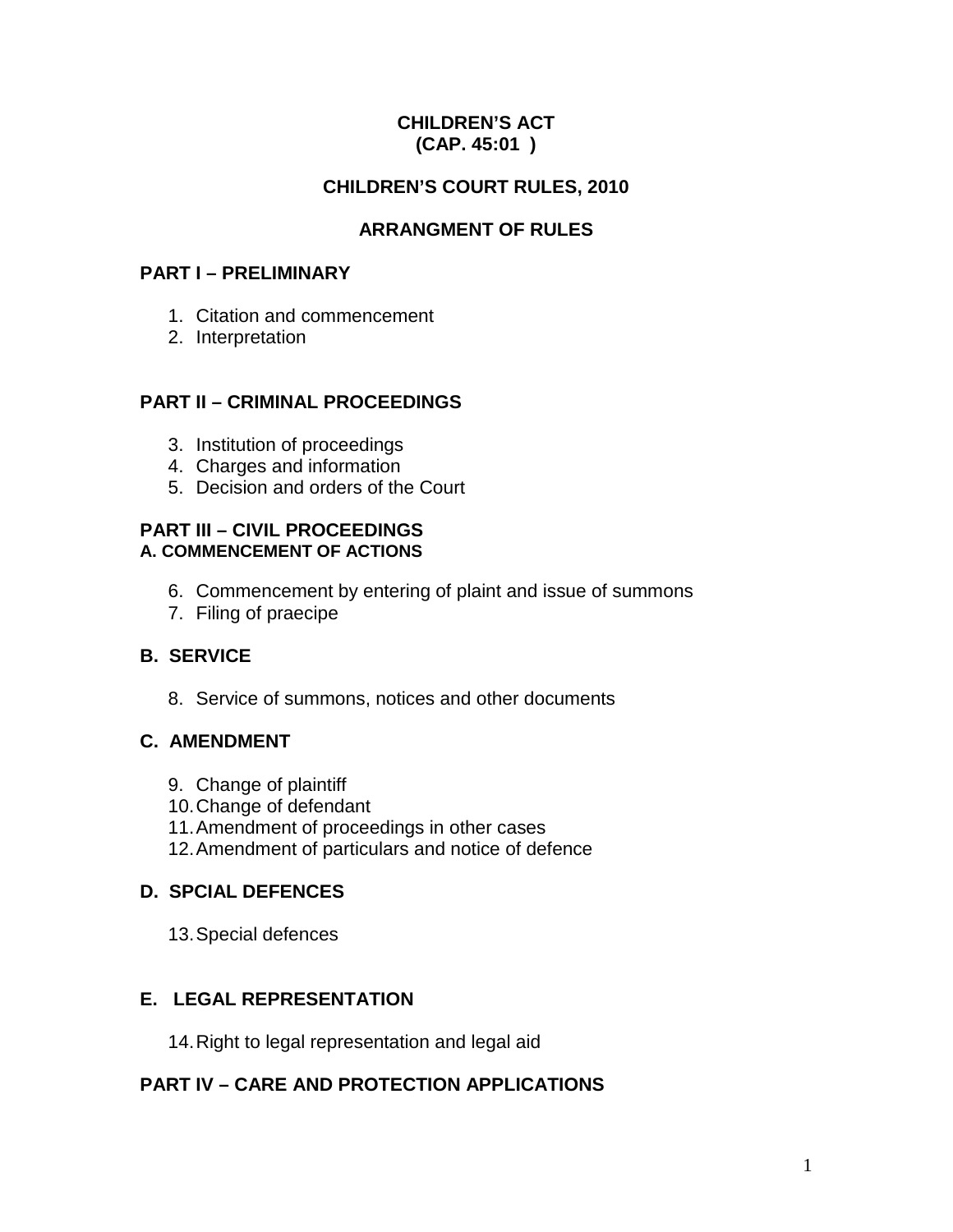## **CHILDREN'S ACT (CAP. 45:01 )**

# **CHILDREN'S COURT RULES, 2010**

# **ARRANGMENT OF RULES**

## **PART I – PRELIMINARY**

- 1. Citation and commencement
- 2. Interpretation

# **PART II – CRIMINAL PROCEEDINGS**

- 3. Institution of proceedings
- 4. Charges and information
- 5. Decision and orders of the Court

## **PART III – CIVIL PROCEEDINGS A. COMMENCEMENT OF ACTIONS**

- 6. Commencement by entering of plaint and issue of summons
- 7. Filing of praecipe

# **B. SERVICE**

8. Service of summons, notices and other documents

# **C. AMENDMENT**

- 9. Change of plaintiff
- 10.Change of defendant
- 11.Amendment of proceedings in other cases
- 12.Amendment of particulars and notice of defence

# **D. SPCIAL DEFENCES**

13.Special defences

# **E. LEGAL REPRESENTATION**

14.Right to legal representation and legal aid

# **PART IV – CARE AND PROTECTION APPLICATIONS**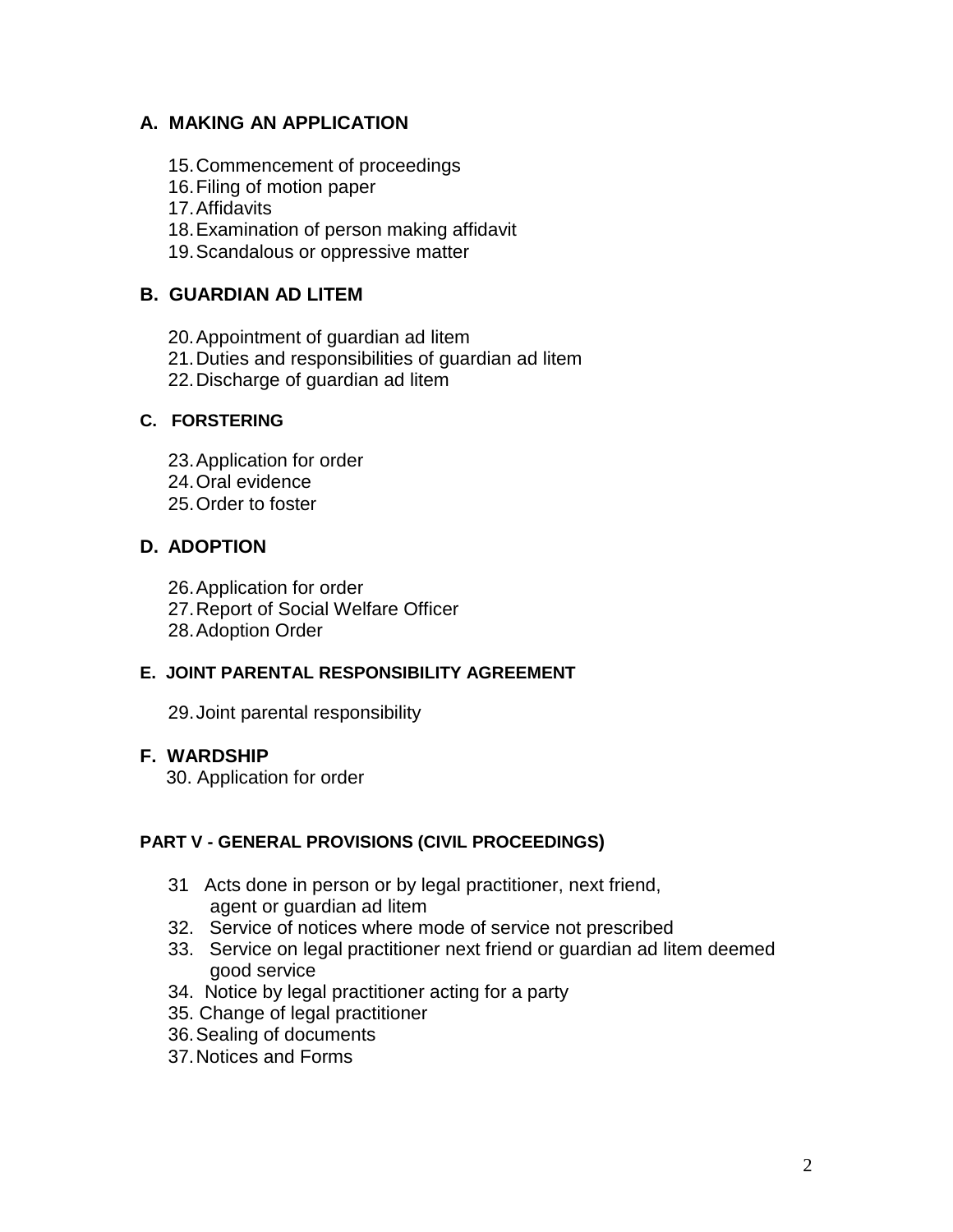# **A. MAKING AN APPLICATION**

- 15.Commencement of proceedings
- 16.Filing of motion paper
- 17.Affidavits
- 18.Examination of person making affidavit
- 19.Scandalous or oppressive matter

# **B. GUARDIAN AD LITEM**

20.Appointment of guardian ad litem

- 21.Duties and responsibilities of guardian ad litem
- 22.Discharge of guardian ad litem

## **C. FORSTERING**

23.Application for order

- 24.Oral evidence
- 25.Order to foster

# **D. ADOPTION**

- 26.Application for order
- 27.Report of Social Welfare Officer
- 28.Adoption Order

# **E. JOINT PARENTAL RESPONSIBILITY AGREEMENT**

29.Joint parental responsibility

# **F. WARDSHIP**

30. Application for order

# **PART V - GENERAL PROVISIONS (CIVIL PROCEEDINGS)**

- 31 Acts done in person or by legal practitioner, next friend, agent or guardian ad litem
- 32. Service of notices where mode of service not prescribed
- 33. Service on legal practitioner next friend or guardian ad litem deemed good service
- 34. Notice by legal practitioner acting for a party
- 35. Change of legal practitioner
- 36.Sealing of documents
- 37.Notices and Forms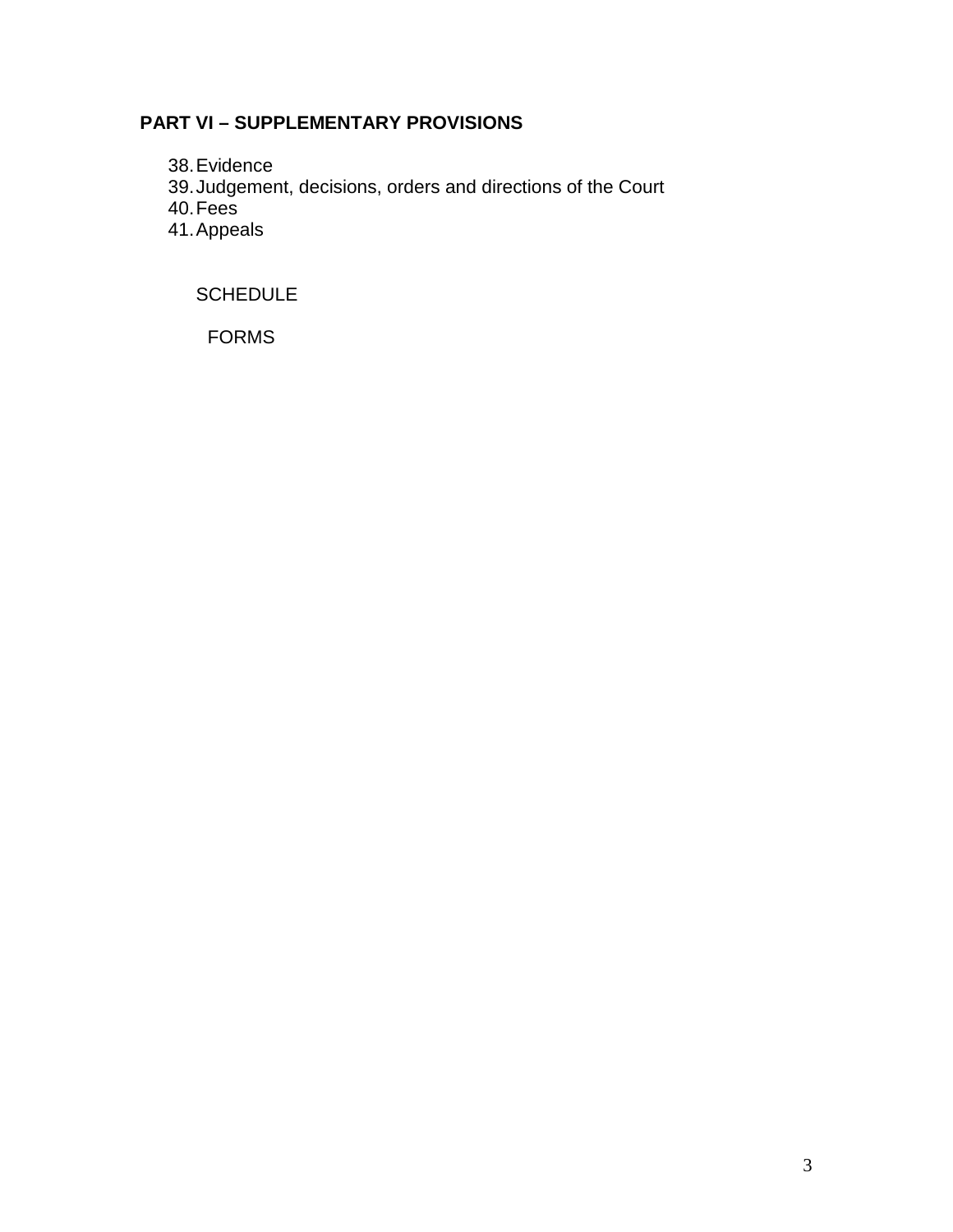# **PART VI – SUPPLEMENTARY PROVISIONS**

38.Evidence

39.Judgement, decisions, orders and directions of the Court

40.Fees

41.Appeals

**SCHEDULE** 

FORMS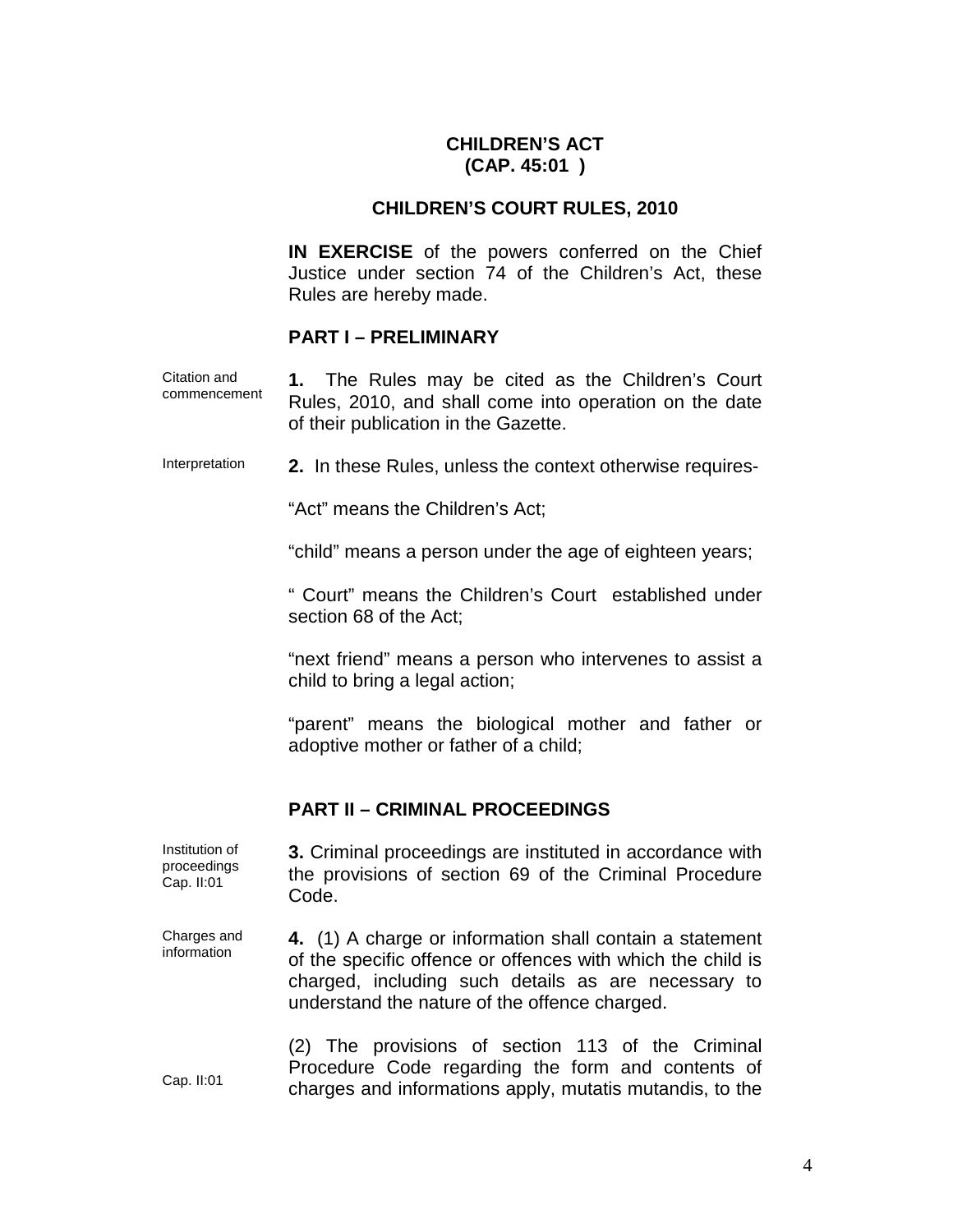## **CHILDREN'S ACT (CAP. 45:01 )**

### **CHILDREN'S COURT RULES, 2010**

**IN EXERCISE** of the powers conferred on the Chief Justice under section 74 of the Children's Act, these Rules are hereby made.

#### **PART I – PRELIMINARY**

Citation and commencement **1.** The Rules may be cited as the Children's Court Rules, 2010, and shall come into operation on the date of their publication in the Gazette.

Interpretation **2.** In these Rules, unless the context otherwise requires-

"Act" means the Children's Act;

"child" means a person under the age of eighteen years;

" Court" means the Children's Court established under section 68 of the Act;

"next friend" means a person who intervenes to assist a child to bring a legal action;

"parent" means the biological mother and father or adoptive mother or father of a child;

#### **PART II – CRIMINAL PROCEEDINGS**

Institution of proceedings Cap. II:01 **3.** Criminal proceedings are instituted in accordance with the provisions of section 69 of the Criminal Procedure Code.

Charges and information **4.** (1) A charge or information shall contain a statement of the specific offence or offences with which the child is charged, including such details as are necessary to understand the nature of the offence charged.

> (2) The provisions of section 113 of the Criminal Procedure Code regarding the form and contents of charges and informations apply, mutatis mutandis, to the

Cap. II:01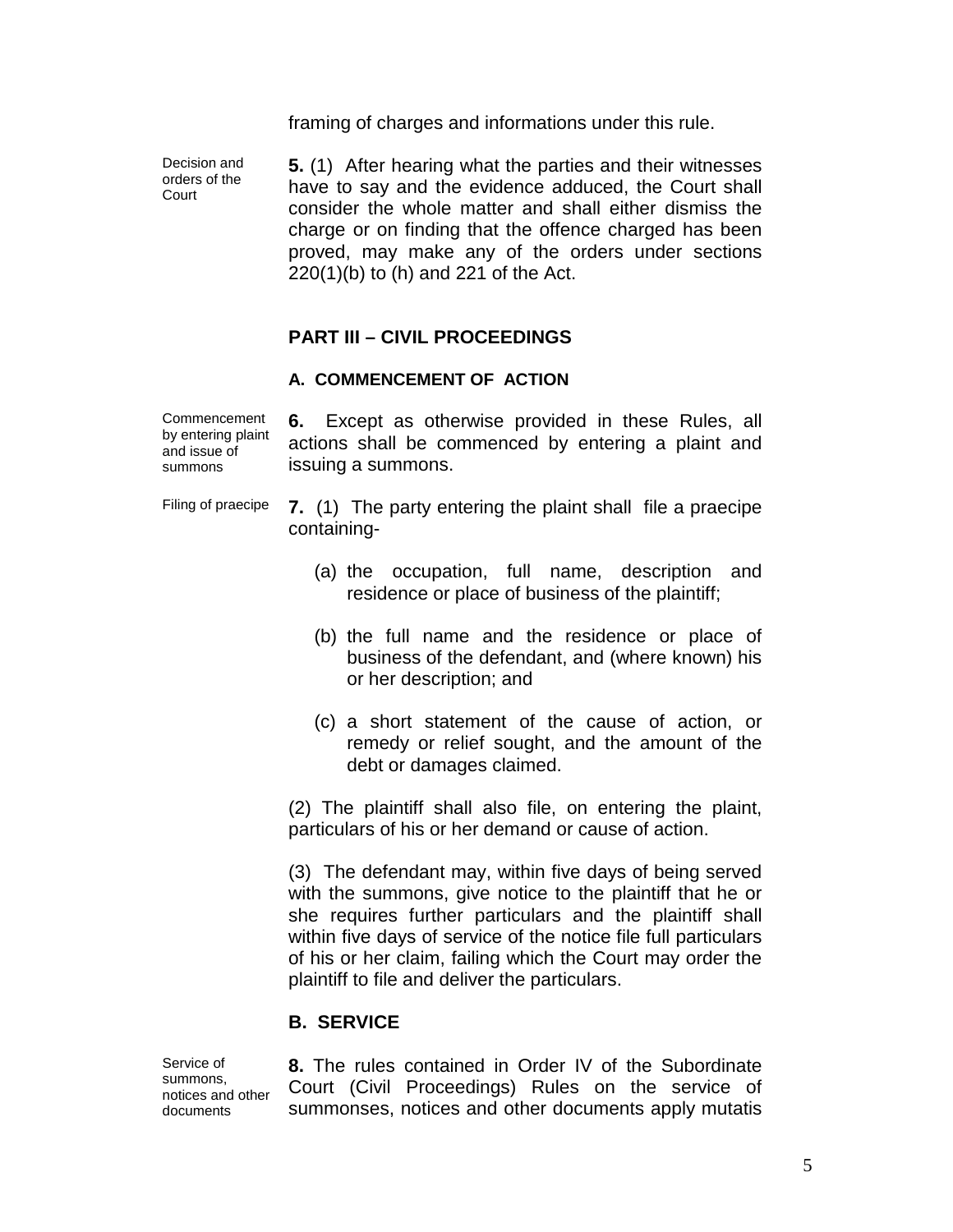framing of charges and informations under this rule.

Decision and orders of the **Court** 

**5.** (1) After hearing what the parties and their witnesses have to say and the evidence adduced, the Court shall consider the whole matter and shall either dismiss the charge or on finding that the offence charged has been proved, may make any of the orders under sections 220(1)(b) to (h) and 221 of the Act.

# **PART III – CIVIL PROCEEDINGS**

#### **A. COMMENCEMENT OF ACTION**

Commencement by entering plaint and issue of summons

**6.** Except as otherwise provided in these Rules, all actions shall be commenced by entering a plaint and issuing a summons.

Filing of praecipe **7.** (1) The party entering the plaint shall file a praecipe containing-

- (a) the occupation, full name, description and residence or place of business of the plaintiff;
- (b) the full name and the residence or place of business of the defendant, and (where known) his or her description; and
- (c) a short statement of the cause of action, or remedy or relief sought, and the amount of the debt or damages claimed.

(2) The plaintiff shall also file, on entering the plaint, particulars of his or her demand or cause of action.

(3) The defendant may, within five days of being served with the summons, give notice to the plaintiff that he or she requires further particulars and the plaintiff shall within five days of service of the notice file full particulars of his or her claim, failing which the Court may order the plaintiff to file and deliver the particulars.

## **B. SERVICE**

Service of summons, notices and other documents

**8.** The rules contained in Order IV of the Subordinate Court (Civil Proceedings) Rules on the service of summonses, notices and other documents apply mutatis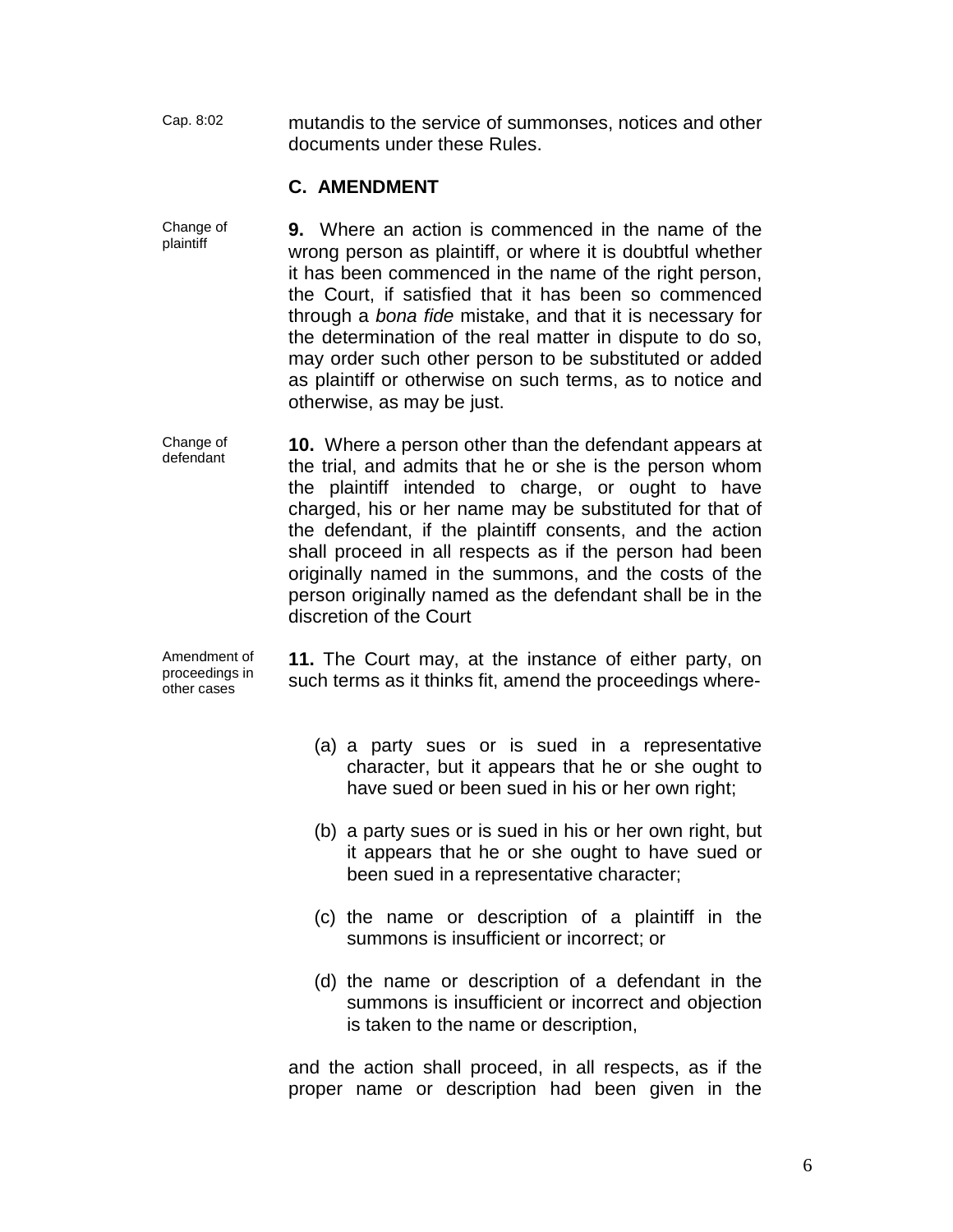Cap. 8:02 mutandis to the service of summonses, notices and other documents under these Rules.

#### **C. AMENDMENT**

- Change of plaintiff **9.** Where an action is commenced in the name of the wrong person as plaintiff, or where it is doubtful whether it has been commenced in the name of the right person, the Court, if satisfied that it has been so commenced through a *bona fide* mistake, and that it is necessary for the determination of the real matter in dispute to do so, may order such other person to be substituted or added as plaintiff or otherwise on such terms, as to notice and otherwise, as may be just.
- Change of defendant **10.** Where a person other than the defendant appears at the trial, and admits that he or she is the person whom the plaintiff intended to charge, or ought to have charged, his or her name may be substituted for that of the defendant, if the plaintiff consents, and the action shall proceed in all respects as if the person had been originally named in the summons, and the costs of the person originally named as the defendant shall be in the discretion of the Court

Amendment of proceedings in other cases **11.** The Court may, at the instance of either party, on such terms as it thinks fit, amend the proceedings where-

- (a) a party sues or is sued in a representative character, but it appears that he or she ought to have sued or been sued in his or her own right;
- (b) a party sues or is sued in his or her own right, but it appears that he or she ought to have sued or been sued in a representative character;
- (c) the name or description of a plaintiff in the summons is insufficient or incorrect; or
- (d) the name or description of a defendant in the summons is insufficient or incorrect and objection is taken to the name or description,

and the action shall proceed, in all respects, as if the proper name or description had been given in the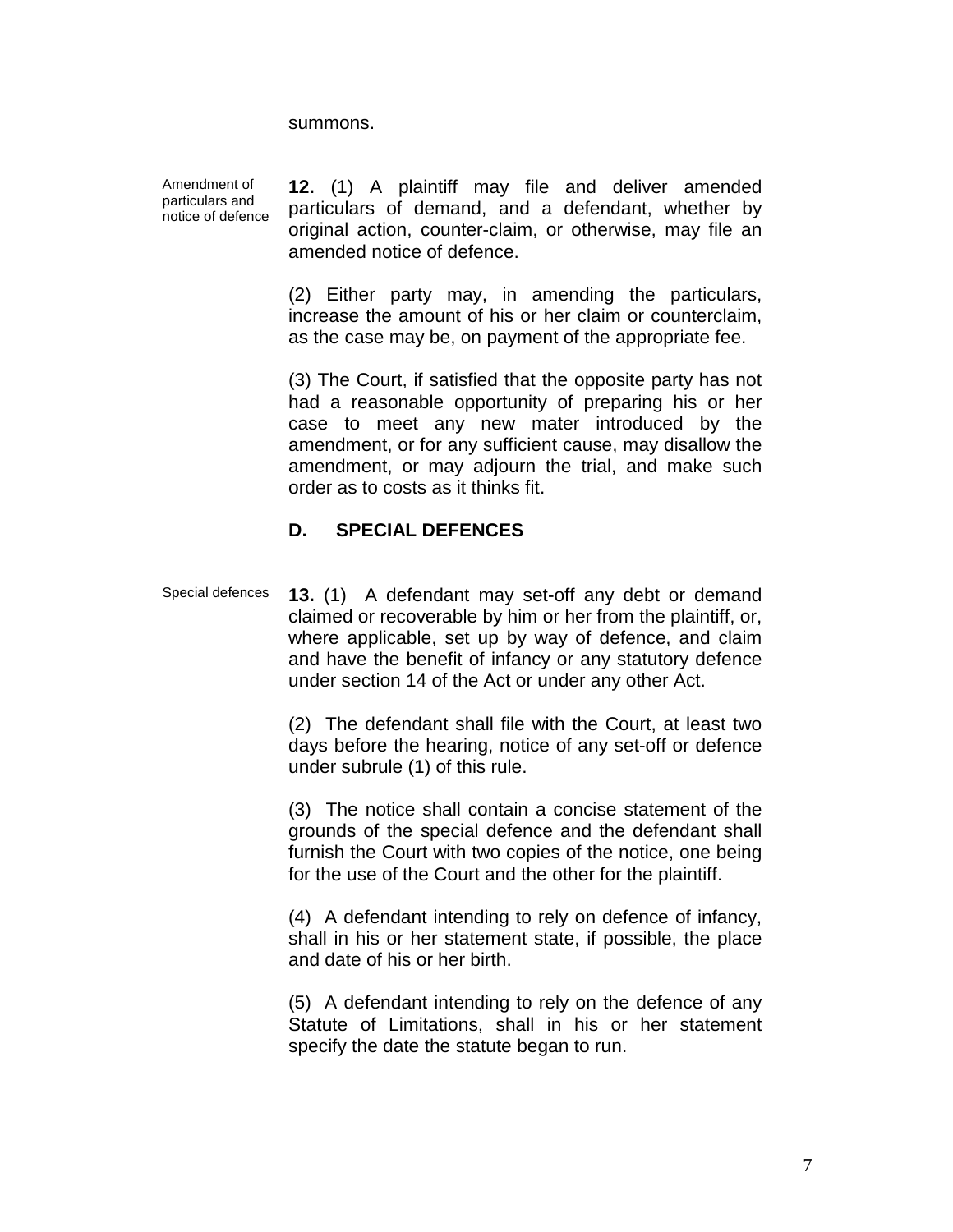summons.

Amendment of particulars and notice of defence **12.** (1) A plaintiff may file and deliver amended particulars of demand, and a defendant, whether by original action, counter-claim, or otherwise, may file an amended notice of defence.

(2) Either party may, in amending the particulars, increase the amount of his or her claim or counterclaim, as the case may be, on payment of the appropriate fee.

(3) The Court, if satisfied that the opposite party has not had a reasonable opportunity of preparing his or her case to meet any new mater introduced by the amendment, or for any sufficient cause, may disallow the amendment, or may adjourn the trial, and make such order as to costs as it thinks fit.

#### **D. SPECIAL DEFENCES**

Special defences **13.** (1) A defendant may set-off any debt or demand claimed or recoverable by him or her from the plaintiff, or, where applicable, set up by way of defence, and claim and have the benefit of infancy or any statutory defence under section 14 of the Act or under any other Act.

> (2) The defendant shall file with the Court, at least two days before the hearing, notice of any set-off or defence under subrule (1) of this rule.

> (3) The notice shall contain a concise statement of the grounds of the special defence and the defendant shall furnish the Court with two copies of the notice, one being for the use of the Court and the other for the plaintiff.

> (4) A defendant intending to rely on defence of infancy, shall in his or her statement state, if possible, the place and date of his or her birth.

> (5) A defendant intending to rely on the defence of any Statute of Limitations, shall in his or her statement specify the date the statute began to run.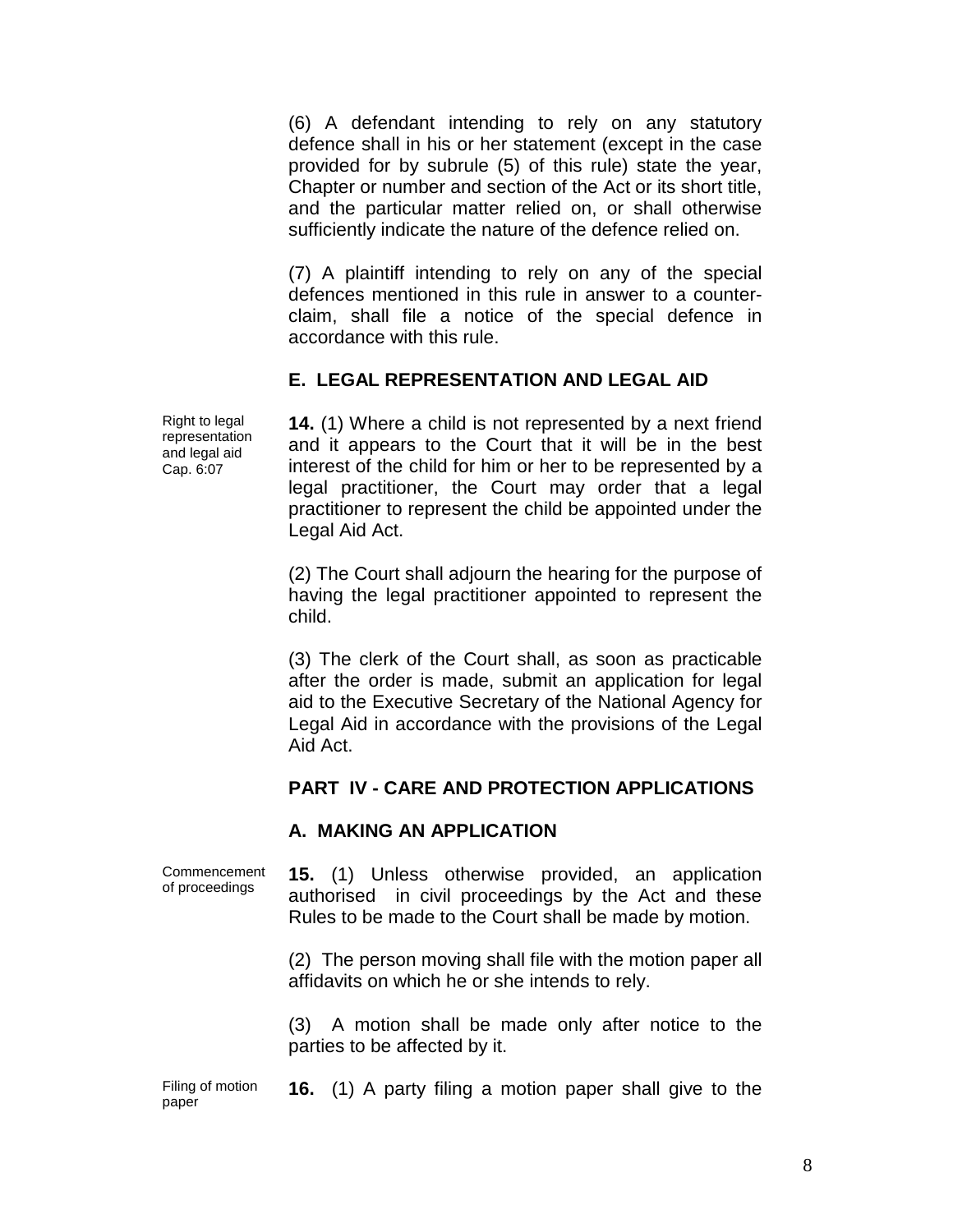(6) A defendant intending to rely on any statutory defence shall in his or her statement (except in the case provided for by subrule (5) of this rule) state the year, Chapter or number and section of the Act or its short title, and the particular matter relied on, or shall otherwise sufficiently indicate the nature of the defence relied on.

(7) A plaintiff intending to rely on any of the special defences mentioned in this rule in answer to a counterclaim, shall file a notice of the special defence in accordance with this rule.

## **E. LEGAL REPRESENTATION AND LEGAL AID**

Right to legal representation and legal aid Cap. 6:07

**14.** (1) Where a child is not represented by a next friend and it appears to the Court that it will be in the best interest of the child for him or her to be represented by a legal practitioner, the Court may order that a legal practitioner to represent the child be appointed under the Legal Aid Act.

(2) The Court shall adjourn the hearing for the purpose of having the legal practitioner appointed to represent the child.

(3) The clerk of the Court shall, as soon as practicable after the order is made, submit an application for legal aid to the Executive Secretary of the National Agency for Legal Aid in accordance with the provisions of the Legal Aid Act.

## **PART IV - CARE AND PROTECTION APPLICATIONS**

## **A. MAKING AN APPLICATION**

Commencement of proceedings **15.** (1) Unless otherwise provided, an application authorised in civil proceedings by the Act and these Rules to be made to the Court shall be made by motion.

> (2) The person moving shall file with the motion paper all affidavits on which he or she intends to rely.

> (3) A motion shall be made only after notice to the parties to be affected by it.

Filing of motion paper **16.** (1) A party filing a motion paper shall give to the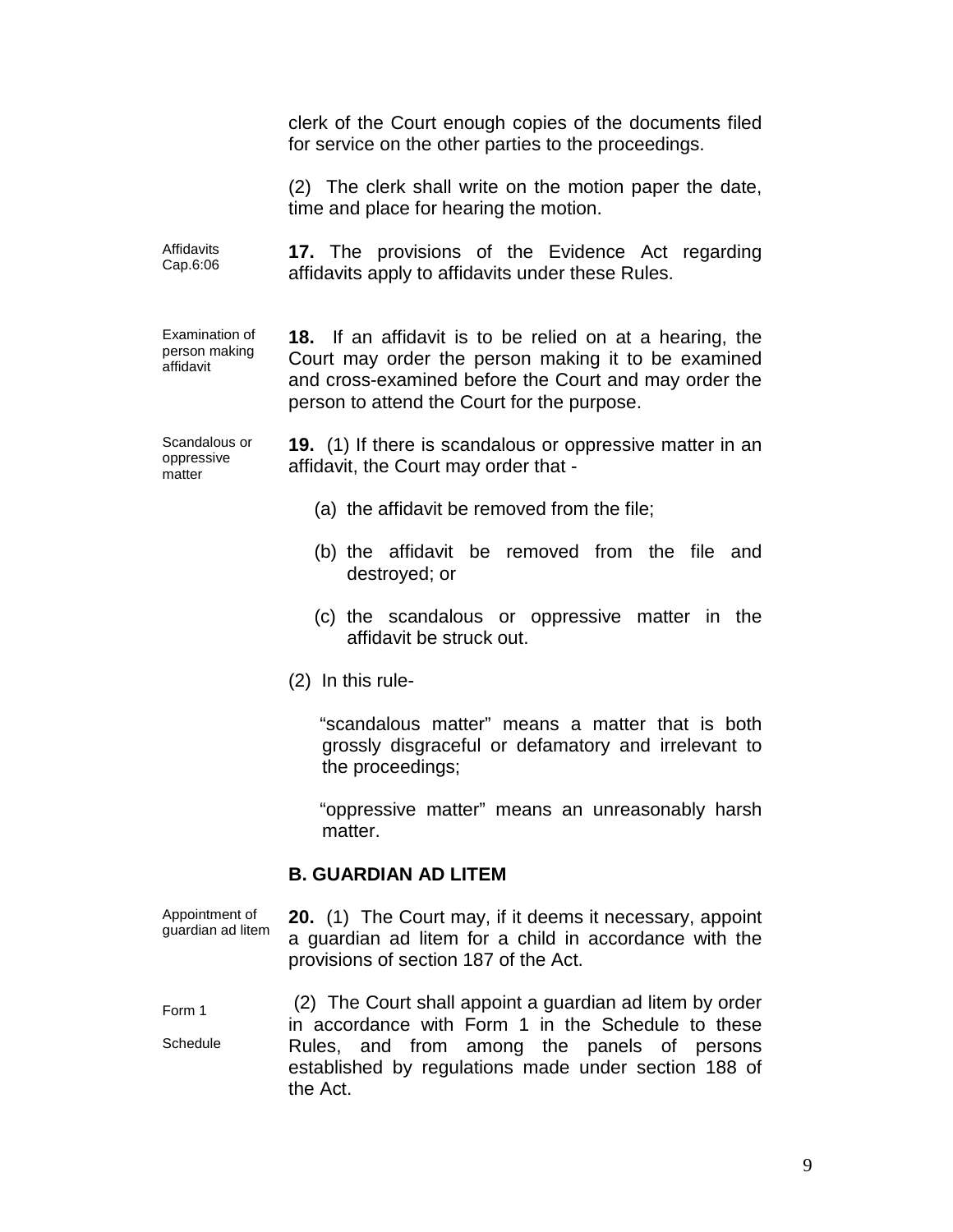clerk of the Court enough copies of the documents filed for service on the other parties to the proceedings.

(2) The clerk shall write on the motion paper the date, time and place for hearing the motion.

Affidavits Cap.6:06 **17.** The provisions of the Evidence Act regarding affidavits apply to affidavits under these Rules.

Examination of person making affidavit

**18.** If an affidavit is to be relied on at a hearing, the Court may order the person making it to be examined and cross-examined before the Court and may order the person to attend the Court for the purpose.

Scandalous or oppressive matter

**19.** (1) If there is scandalous or oppressive matter in an affidavit, the Court may order that -

- (a) the affidavit be removed from the file;
- (b) the affidavit be removed from the file and destroyed; or
- (c) the scandalous or oppressive matter in the affidavit be struck out.
- (2) In this rule-

 "scandalous matter" means a matter that is both grossly disgraceful or defamatory and irrelevant to the proceedings;

 "oppressive matter" means an unreasonably harsh matter.

## **B. GUARDIAN AD LITEM**

Appointment of guardian ad litem **20.** (1) The Court may, if it deems it necessary, appoint a guardian ad litem for a child in accordance with the provisions of section 187 of the Act.

Form 1 **Schedule** (2) The Court shall appoint a guardian ad litem by order in accordance with Form 1 in the Schedule to these Rules, and from among the panels of persons established by regulations made under section 188 of the Act.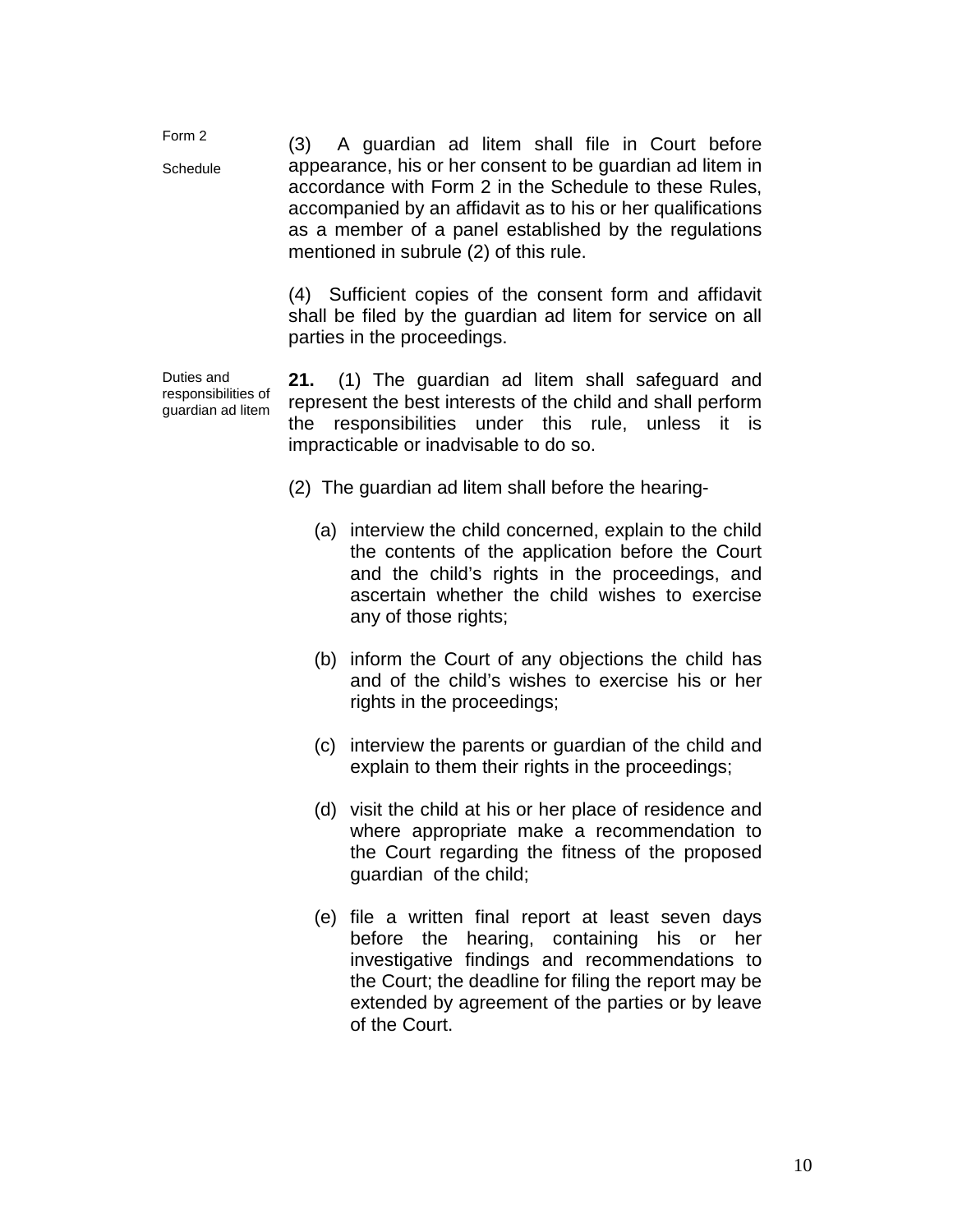Form 2 **Schedule** (3) A guardian ad litem shall file in Court before appearance, his or her consent to be guardian ad litem in accordance with Form 2 in the Schedule to these Rules, accompanied by an affidavit as to his or her qualifications as a member of a panel established by the regulations mentioned in subrule (2) of this rule.

> (4) Sufficient copies of the consent form and affidavit shall be filed by the guardian ad litem for service on all parties in the proceedings.

Duties and responsibilities of guardian ad litem

**21.** (1) The guardian ad litem shall safeguard and represent the best interests of the child and shall perform the responsibilities under this rule, unless it is impracticable or inadvisable to do so.

- (2) The guardian ad litem shall before the hearing-
	- (a) interview the child concerned, explain to the child the contents of the application before the Court and the child's rights in the proceedings, and ascertain whether the child wishes to exercise any of those rights;
	- (b) inform the Court of any objections the child has and of the child's wishes to exercise his or her rights in the proceedings;
	- (c) interview the parents or guardian of the child and explain to them their rights in the proceedings;
	- (d) visit the child at his or her place of residence and where appropriate make a recommendation to the Court regarding the fitness of the proposed guardian of the child;
	- (e) file a written final report at least seven days before the hearing, containing his or her investigative findings and recommendations to the Court; the deadline for filing the report may be extended by agreement of the parties or by leave of the Court.

10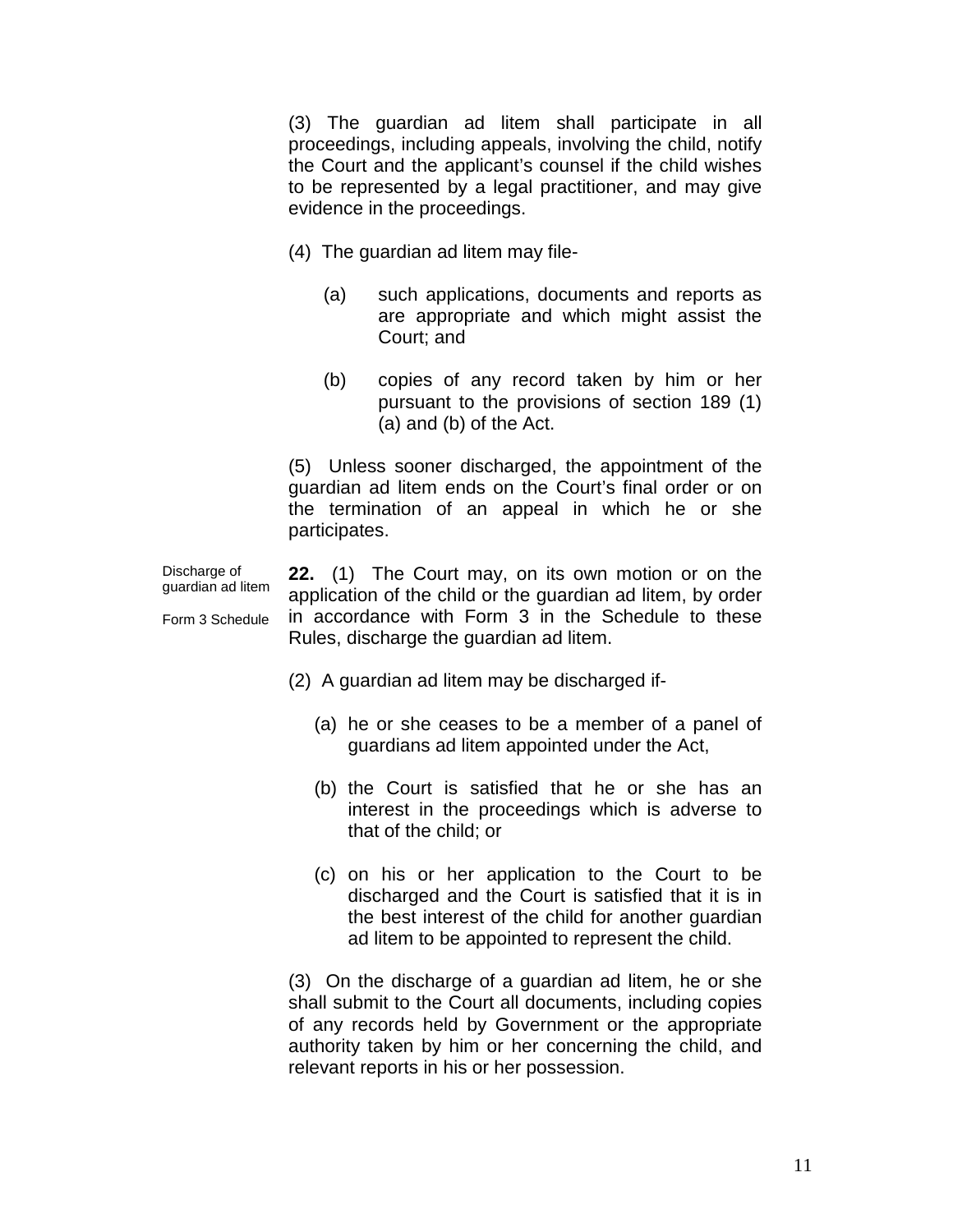(3) The guardian ad litem shall participate in all proceedings, including appeals, involving the child, notify the Court and the applicant's counsel if the child wishes to be represented by a legal practitioner, and may give evidence in the proceedings.

- (4) The guardian ad litem may file-
	- (a) such applications, documents and reports as are appropriate and which might assist the Court; and
	- (b) copies of any record taken by him or her pursuant to the provisions of section 189 (1) (a) and (b) of the Act.

(5) Unless sooner discharged, the appointment of the guardian ad litem ends on the Court's final order or on the termination of an appeal in which he or she participates.

Discharge of guardian ad litem Form 3 Schedule **22.** (1) The Court may, on its own motion or on the application of the child or the guardian ad litem, by order in accordance with Form 3 in the Schedule to these Rules, discharge the guardian ad litem.

- (2) A guardian ad litem may be discharged if-
	- (a) he or she ceases to be a member of a panel of guardians ad litem appointed under the Act,
	- (b) the Court is satisfied that he or she has an interest in the proceedings which is adverse to that of the child; or
	- (c) on his or her application to the Court to be discharged and the Court is satisfied that it is in the best interest of the child for another guardian ad litem to be appointed to represent the child.

(3) On the discharge of a guardian ad litem, he or she shall submit to the Court all documents, including copies of any records held by Government or the appropriate authority taken by him or her concerning the child, and relevant reports in his or her possession.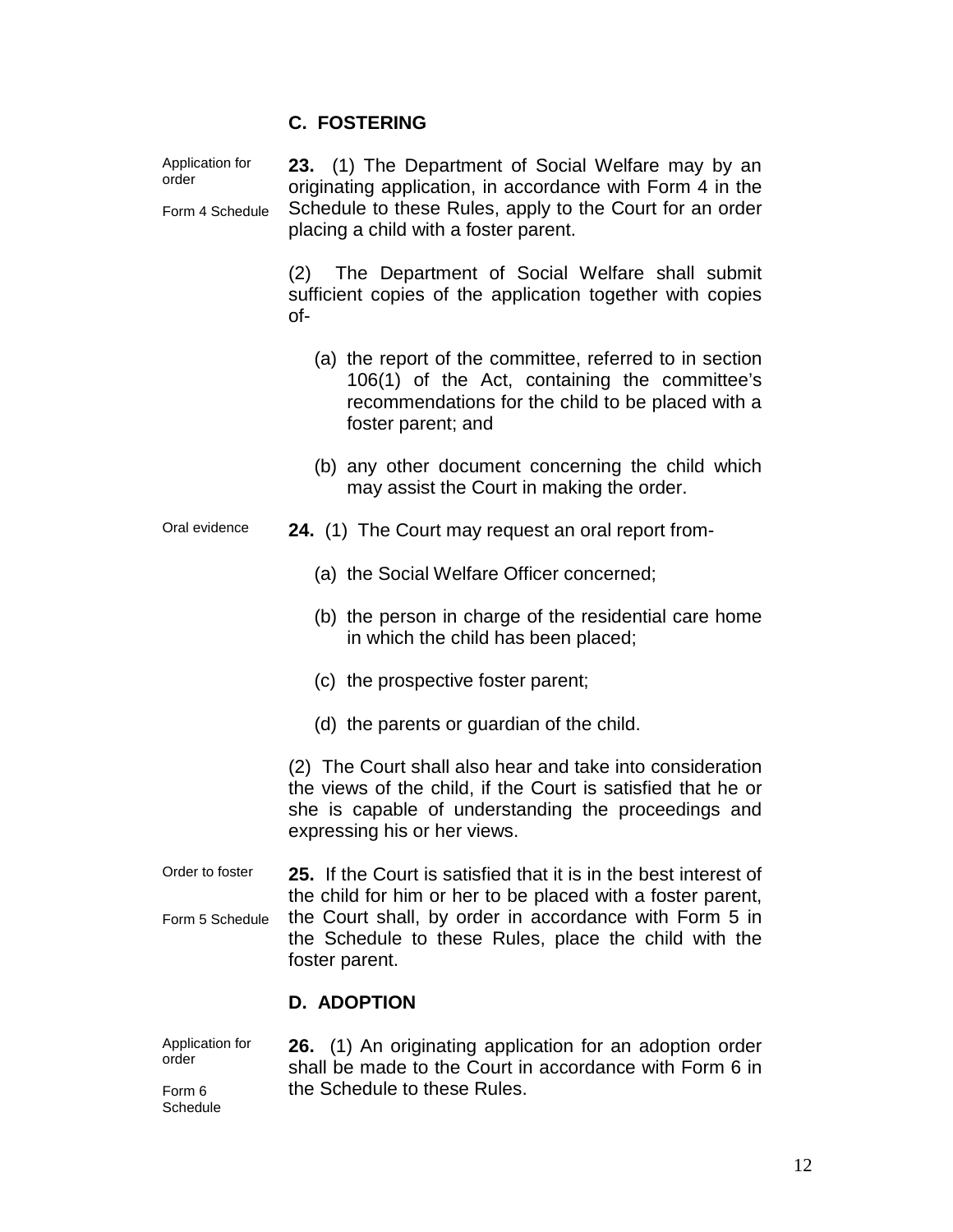# **C. FOSTERING**

| Application for<br>order<br>Form 4 Schedule | 23. (1) The Department of Social Welfare may by an<br>originating application, in accordance with Form 4 in the<br>Schedule to these Rules, apply to the Court for an order<br>placing a child with a foster parent.                                                 |  |  |
|---------------------------------------------|----------------------------------------------------------------------------------------------------------------------------------------------------------------------------------------------------------------------------------------------------------------------|--|--|
|                                             | (2) The Department of Social Welfare shall submit<br>sufficient copies of the application together with copies<br>of-                                                                                                                                                |  |  |
|                                             | (a) the report of the committee, referred to in section<br>106(1) of the Act, containing the committee's<br>recommendations for the child to be placed with a<br>foster parent; and                                                                                  |  |  |
|                                             | (b) any other document concerning the child which<br>may assist the Court in making the order.                                                                                                                                                                       |  |  |
| Oral evidence                               | 24. (1) The Court may request an oral report from-                                                                                                                                                                                                                   |  |  |
|                                             | (a) the Social Welfare Officer concerned;                                                                                                                                                                                                                            |  |  |
|                                             | (b) the person in charge of the residential care home<br>in which the child has been placed;                                                                                                                                                                         |  |  |
|                                             | (c) the prospective foster parent;                                                                                                                                                                                                                                   |  |  |
|                                             | (d) the parents or guardian of the child.                                                                                                                                                                                                                            |  |  |
|                                             | (2) The Court shall also hear and take into consideration<br>the views of the child, if the Court is satisfied that he or<br>she is capable of understanding the proceedings and<br>expressing his or her views.                                                     |  |  |
| Order to foster                             | 25. If the Court is satisfied that it is in the best interest of<br>the child for him or her to be placed with a foster parent,<br>the Court shall, by order in accordance with Form 5 in<br>the Schedule to these Rules, place the child with the<br>foster parent. |  |  |
| Form 5 Schedule                             |                                                                                                                                                                                                                                                                      |  |  |
|                                             | <b>D. ADOPTION</b>                                                                                                                                                                                                                                                   |  |  |
| Application for                             | 26 (1) An originating application for an adoption order                                                                                                                                                                                                              |  |  |

Application for order Form 6 Schedule **26.** (1) An originating application for an adoption order shall be made to the Court in accordance with Form 6 in the Schedule to these Rules.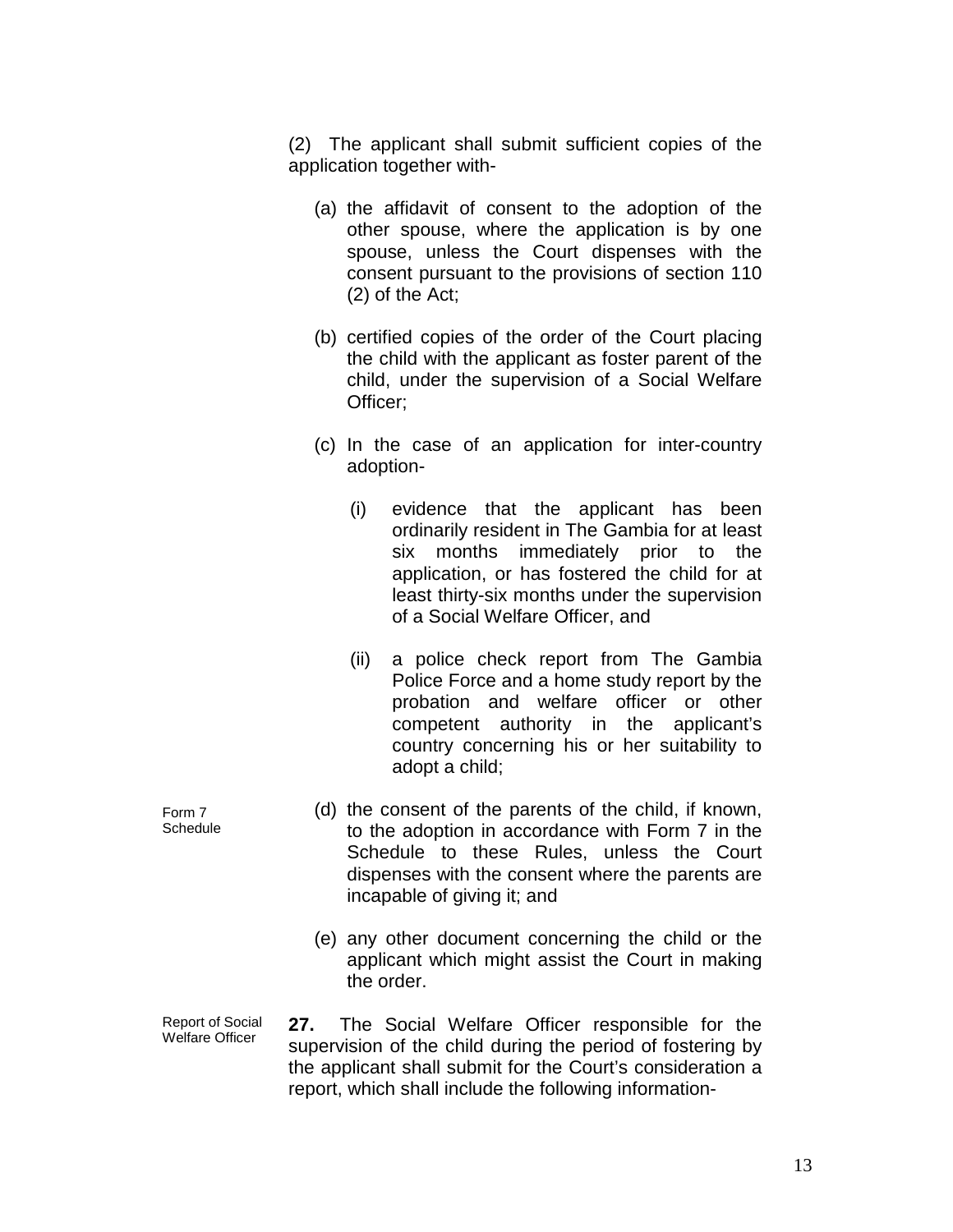(2) The applicant shall submit sufficient copies of the application together with-

- (a) the affidavit of consent to the adoption of the other spouse, where the application is by one spouse, unless the Court dispenses with the consent pursuant to the provisions of section 110 (2) of the Act;
- (b) certified copies of the order of the Court placing the child with the applicant as foster parent of the child, under the supervision of a Social Welfare Officer;
- (c) In the case of an application for inter-country adoption-
	- (i) evidence that the applicant has been ordinarily resident in The Gambia for at least six months immediately prior to the application, or has fostered the child for at least thirty-six months under the supervision of a Social Welfare Officer, and
	- (ii) a police check report from The Gambia Police Force and a home study report by the probation and welfare officer or other competent authority in the applicant's country concerning his or her suitability to adopt a child;
- (d) the consent of the parents of the child, if known, to the adoption in accordance with Form 7 in the Schedule to these Rules, unless the Court dispenses with the consent where the parents are incapable of giving it; and
	- (e) any other document concerning the child or the applicant which might assist the Court in making the order.
- Report of Social Welfare Officer **27.** The Social Welfare Officer responsible for the supervision of the child during the period of fostering by the applicant shall submit for the Court's consideration a report, which shall include the following information-

Form 7 **Schedule**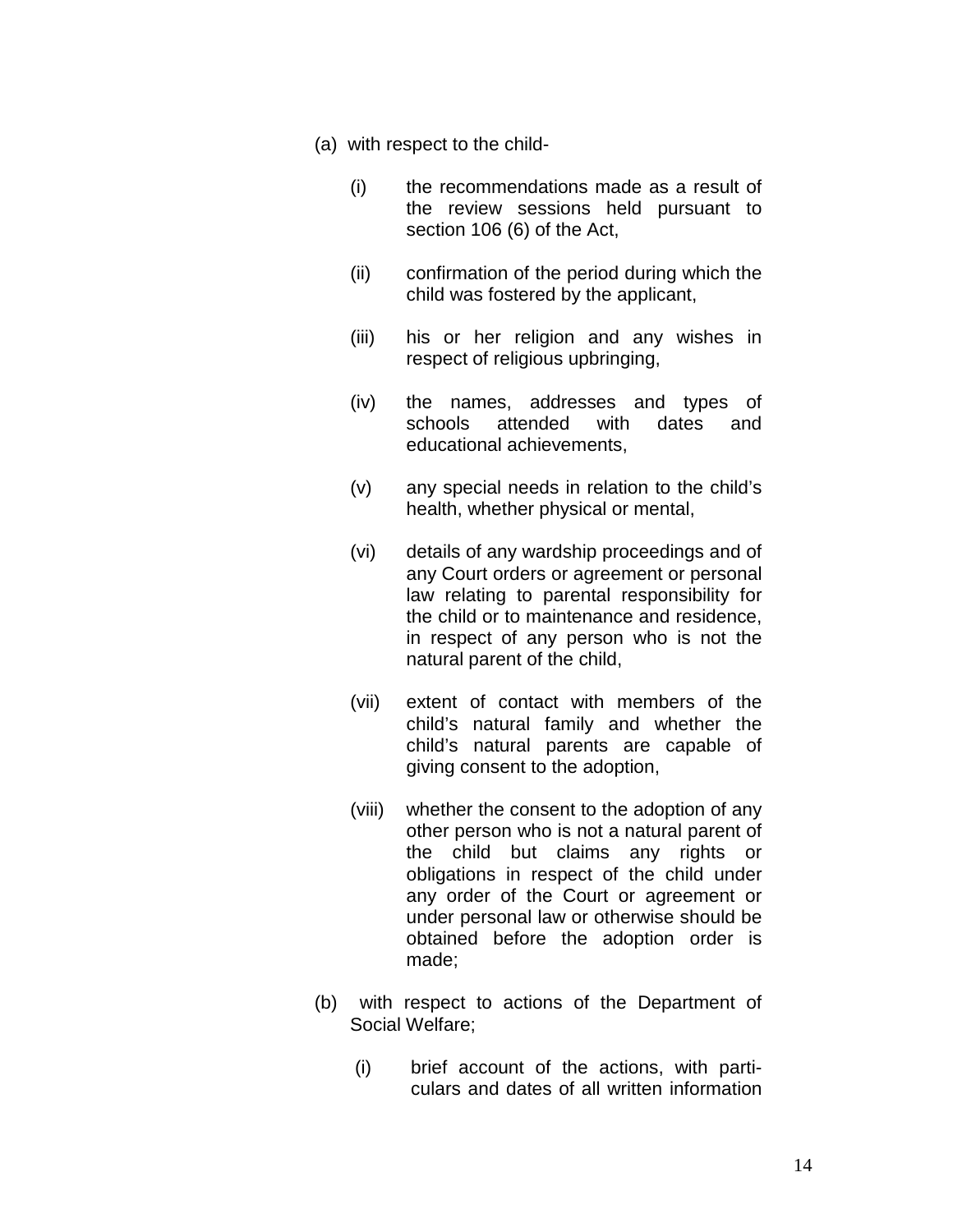- (a) with respect to the child-
	- (i) the recommendations made as a result of the review sessions held pursuant to section 106 (6) of the Act,
	- (ii) confirmation of the period during which the child was fostered by the applicant,
	- (iii) his or her religion and any wishes in respect of religious upbringing,
	- (iv) the names, addresses and types of schools attended with dates and educational achievements,
	- (v) any special needs in relation to the child's health, whether physical or mental,
	- (vi) details of any wardship proceedings and of any Court orders or agreement or personal law relating to parental responsibility for the child or to maintenance and residence, in respect of any person who is not the natural parent of the child,
	- (vii) extent of contact with members of the child's natural family and whether the child's natural parents are capable of giving consent to the adoption,
	- (viii) whether the consent to the adoption of any other person who is not a natural parent of the child but claims any rights or obligations in respect of the child under any order of the Court or agreement or under personal law or otherwise should be obtained before the adoption order is made;
- (b) with respect to actions of the Department of Social Welfare;
	- (i) brief account of the actions, with particulars and dates of all written information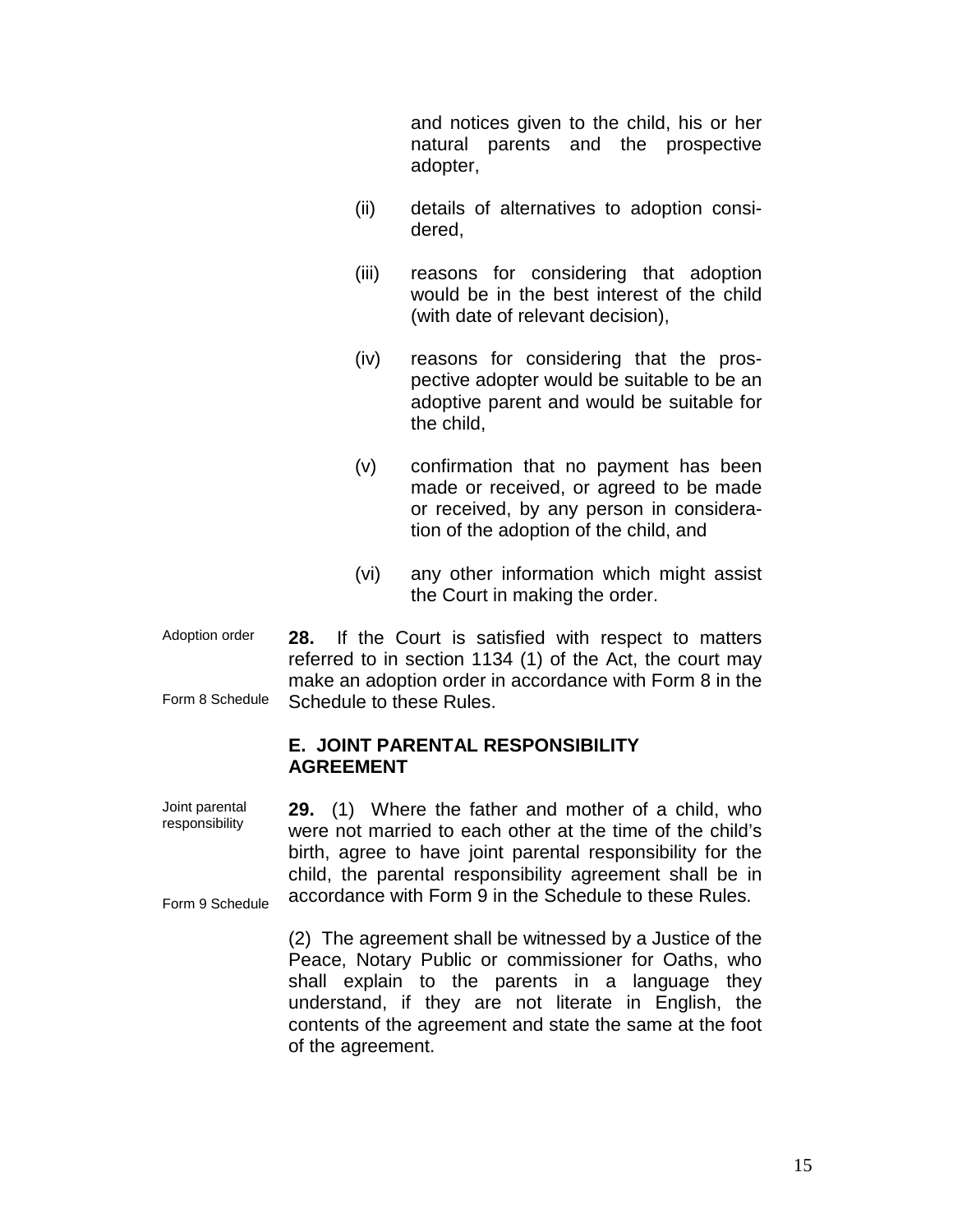and notices given to the child, his or her natural parents and the prospective adopter,

- (ii) details of alternatives to adoption considered,
- (iii) reasons for considering that adoption would be in the best interest of the child (with date of relevant decision),
- (iv) reasons for considering that the prospective adopter would be suitable to be an adoptive parent and would be suitable for the child,
- (v) confirmation that no payment has been made or received, or agreed to be made or received, by any person in consideration of the adoption of the child, and
- (vi) any other information which might assist the Court in making the order.
- Adoption order 28. Form 8 Schedule **28.** If the Court is satisfied with respect to matters referred to in section 1134 (1) of the Act, the court may make an adoption order in accordance with Form 8 in the Schedule to these Rules.

#### **E. JOINT PARENTAL RESPONSIBILITY AGREEMENT**

Joint parental responsibility Form 9 Schedule **29.** (1) Where the father and mother of a child, who were not married to each other at the time of the child's birth, agree to have joint parental responsibility for the child, the parental responsibility agreement shall be in accordance with Form 9 in the Schedule to these Rules.

> (2) The agreement shall be witnessed by a Justice of the Peace, Notary Public or commissioner for Oaths, who shall explain to the parents in a language they understand, if they are not literate in English, the contents of the agreement and state the same at the foot of the agreement.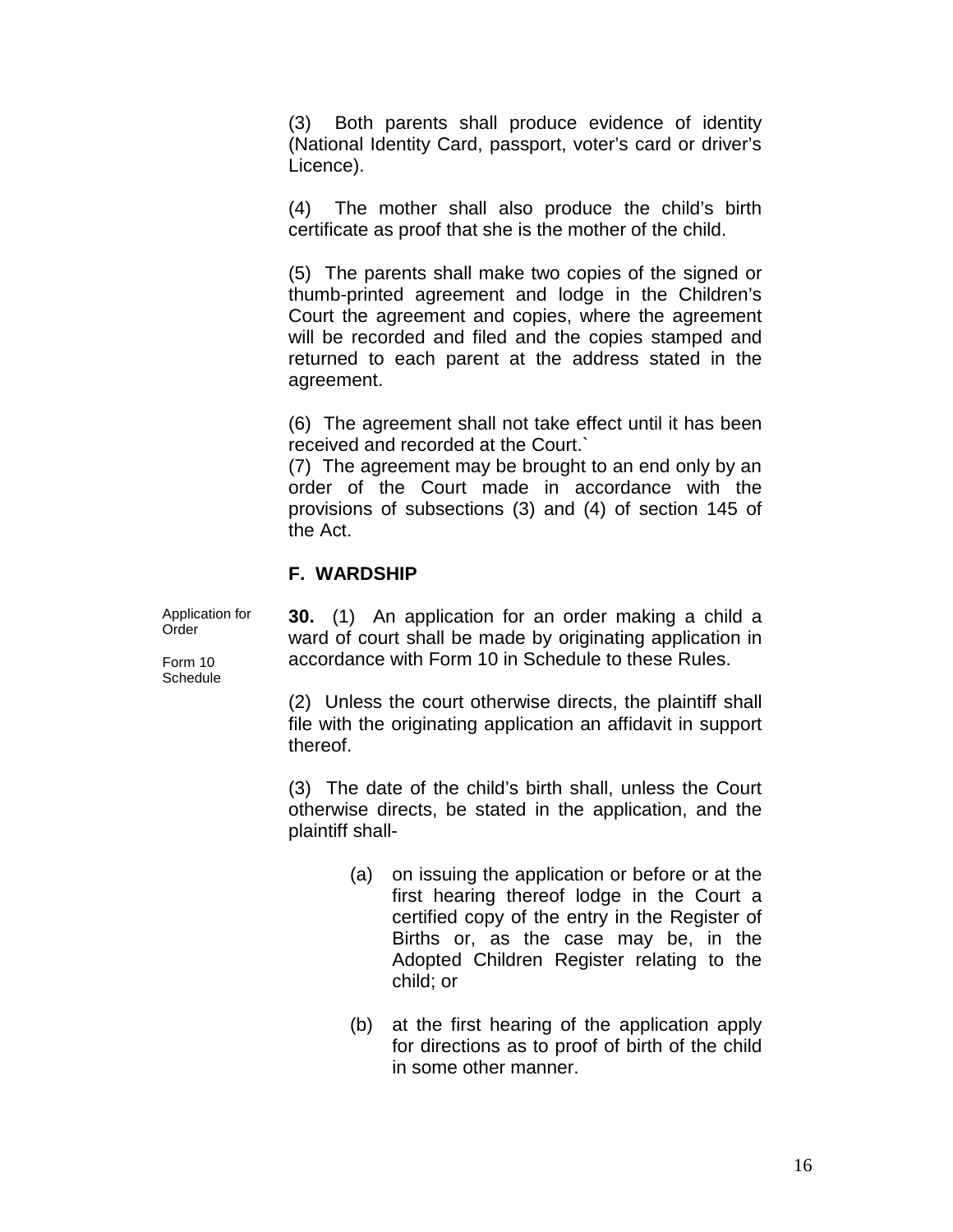(3) Both parents shall produce evidence of identity (National Identity Card, passport, voter's card or driver's Licence).

(4) The mother shall also produce the child's birth certificate as proof that she is the mother of the child.

(5) The parents shall make two copies of the signed or thumb-printed agreement and lodge in the Children's Court the agreement and copies, where the agreement will be recorded and filed and the copies stamped and returned to each parent at the address stated in the agreement.

(6) The agreement shall not take effect until it has been received and recorded at the Court.`

(7) The agreement may be brought to an end only by an order of the Court made in accordance with the provisions of subsections (3) and (4) of section 145 of the Act.

## **F. WARDSHIP**

Application for Order

Form 10 **Schedule**  **30.** (1) An application for an order making a child a ward of court shall be made by originating application in accordance with Form 10 in Schedule to these Rules.

(2) Unless the court otherwise directs, the plaintiff shall file with the originating application an affidavit in support thereof.

(3) The date of the child's birth shall, unless the Court otherwise directs, be stated in the application, and the plaintiff shall-

- (a) on issuing the application or before or at the first hearing thereof lodge in the Court a certified copy of the entry in the Register of Births or, as the case may be, in the Adopted Children Register relating to the child; or
- (b) at the first hearing of the application apply for directions as to proof of birth of the child in some other manner.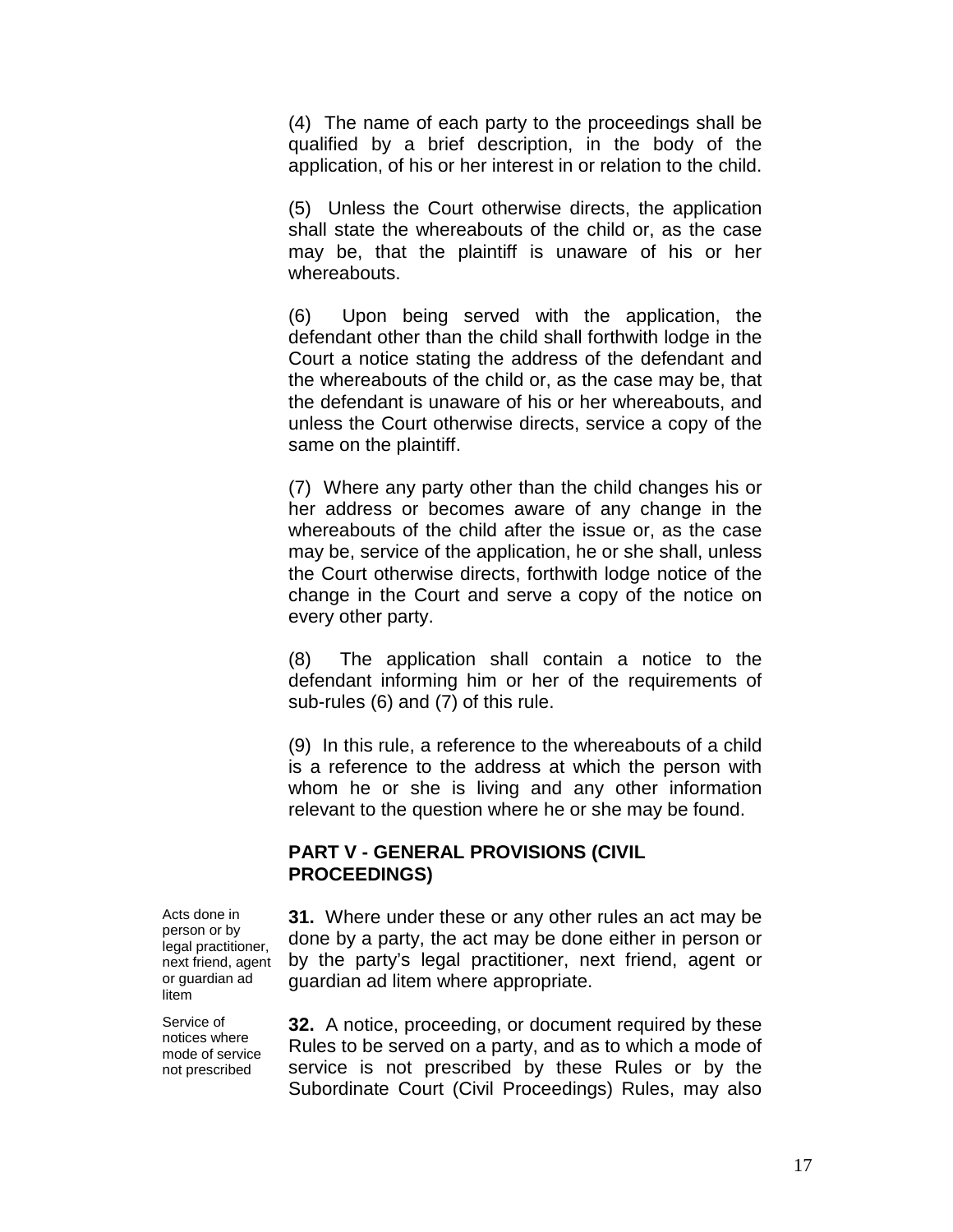(4) The name of each party to the proceedings shall be qualified by a brief description, in the body of the application, of his or her interest in or relation to the child.

(5) Unless the Court otherwise directs, the application shall state the whereabouts of the child or, as the case may be, that the plaintiff is unaware of his or her whereabouts.

(6) Upon being served with the application, the defendant other than the child shall forthwith lodge in the Court a notice stating the address of the defendant and the whereabouts of the child or, as the case may be, that the defendant is unaware of his or her whereabouts, and unless the Court otherwise directs, service a copy of the same on the plaintiff.

(7) Where any party other than the child changes his or her address or becomes aware of any change in the whereabouts of the child after the issue or, as the case may be, service of the application, he or she shall, unless the Court otherwise directs, forthwith lodge notice of the change in the Court and serve a copy of the notice on every other party.

(8) The application shall contain a notice to the defendant informing him or her of the requirements of sub-rules (6) and (7) of this rule.

(9) In this rule, a reference to the whereabouts of a child is a reference to the address at which the person with whom he or she is living and any other information relevant to the question where he or she may be found.

#### **PART V - GENERAL PROVISIONS (CIVIL PROCEEDINGS)**

**31.** Where under these or any other rules an act may be done by a party, the act may be done either in person or by the party's legal practitioner, next friend, agent or guardian ad litem where appropriate.

**32.** A notice, proceeding, or document required by these Rules to be served on a party, and as to which a mode of service is not prescribed by these Rules or by the Subordinate Court (Civil Proceedings) Rules, may also

Acts done in person or by legal practitioner, next friend, agent or guardian ad litem

Service of notices where mode of service not prescribed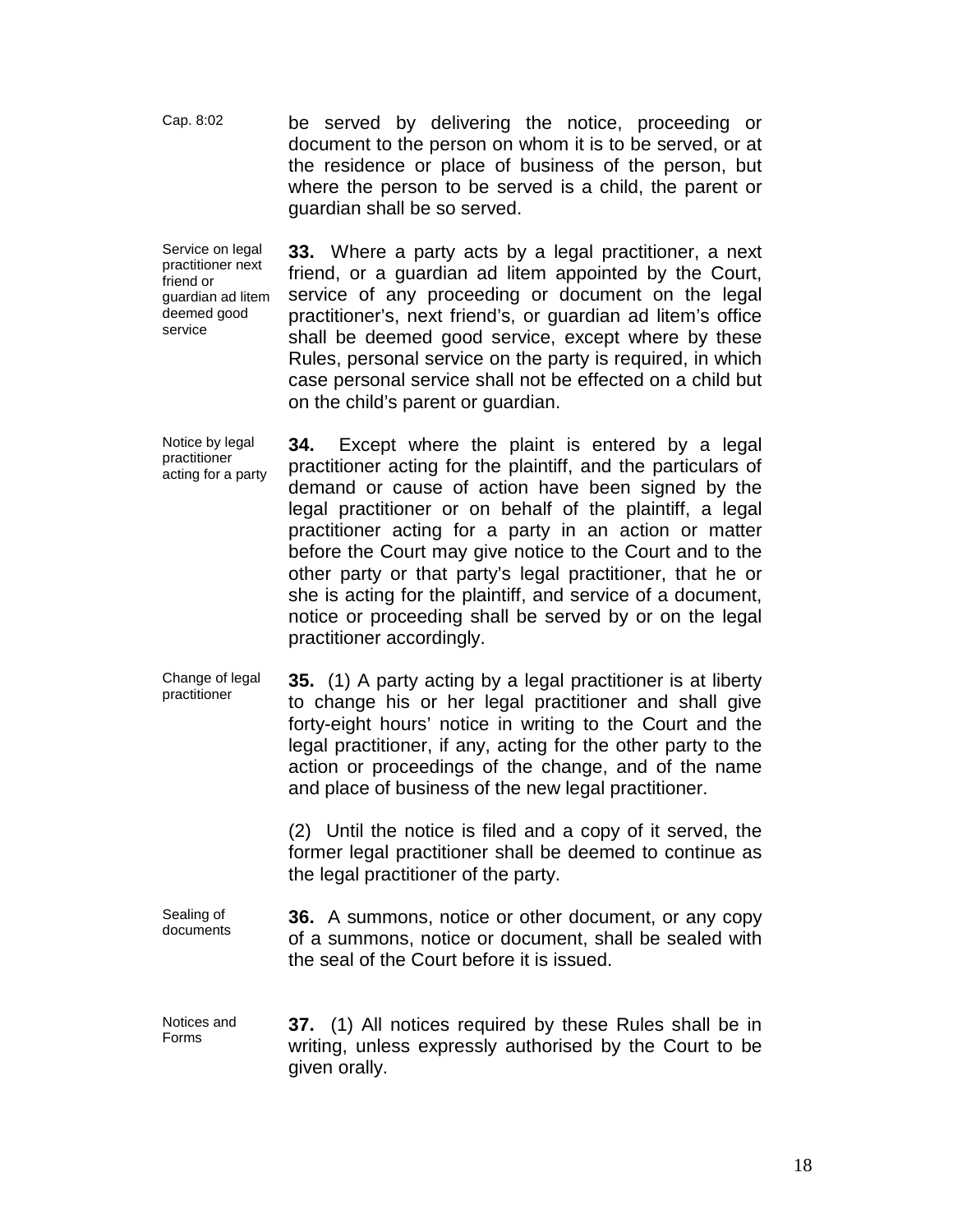Cap. 8:02 be served by delivering the notice, proceeding or document to the person on whom it is to be served, or at the residence or place of business of the person, but where the person to be served is a child, the parent or guardian shall be so served.

Service on legal practitioner next friend or guardian ad litem deemed good service

**33.** Where a party acts by a legal practitioner, a next friend, or a guardian ad litem appointed by the Court, service of any proceeding or document on the legal practitioner's, next friend's, or guardian ad litem's office shall be deemed good service, except where by these Rules, personal service on the party is required, in which case personal service shall not be effected on a child but on the child's parent or guardian.

Notice by legal practitioner acting for a party **34.** Except where the plaint is entered by a legal practitioner acting for the plaintiff, and the particulars of demand or cause of action have been signed by the legal practitioner or on behalf of the plaintiff, a legal practitioner acting for a party in an action or matter before the Court may give notice to the Court and to the other party or that party's legal practitioner, that he or she is acting for the plaintiff, and service of a document, notice or proceeding shall be served by or on the legal practitioner accordingly.

Change of legal practitioner **35.** (1) A party acting by a legal practitioner is at liberty to change his or her legal practitioner and shall give forty-eight hours' notice in writing to the Court and the legal practitioner, if any, acting for the other party to the action or proceedings of the change, and of the name and place of business of the new legal practitioner.

> (2) Until the notice is filed and a copy of it served, the former legal practitioner shall be deemed to continue as the legal practitioner of the party.

Sealing of documents **36.** A summons, notice or other document, or any copy of a summons, notice or document, shall be sealed with the seal of the Court before it is issued.

Notices and Forms **37.** (1) All notices required by these Rules shall be in writing, unless expressly authorised by the Court to be given orally.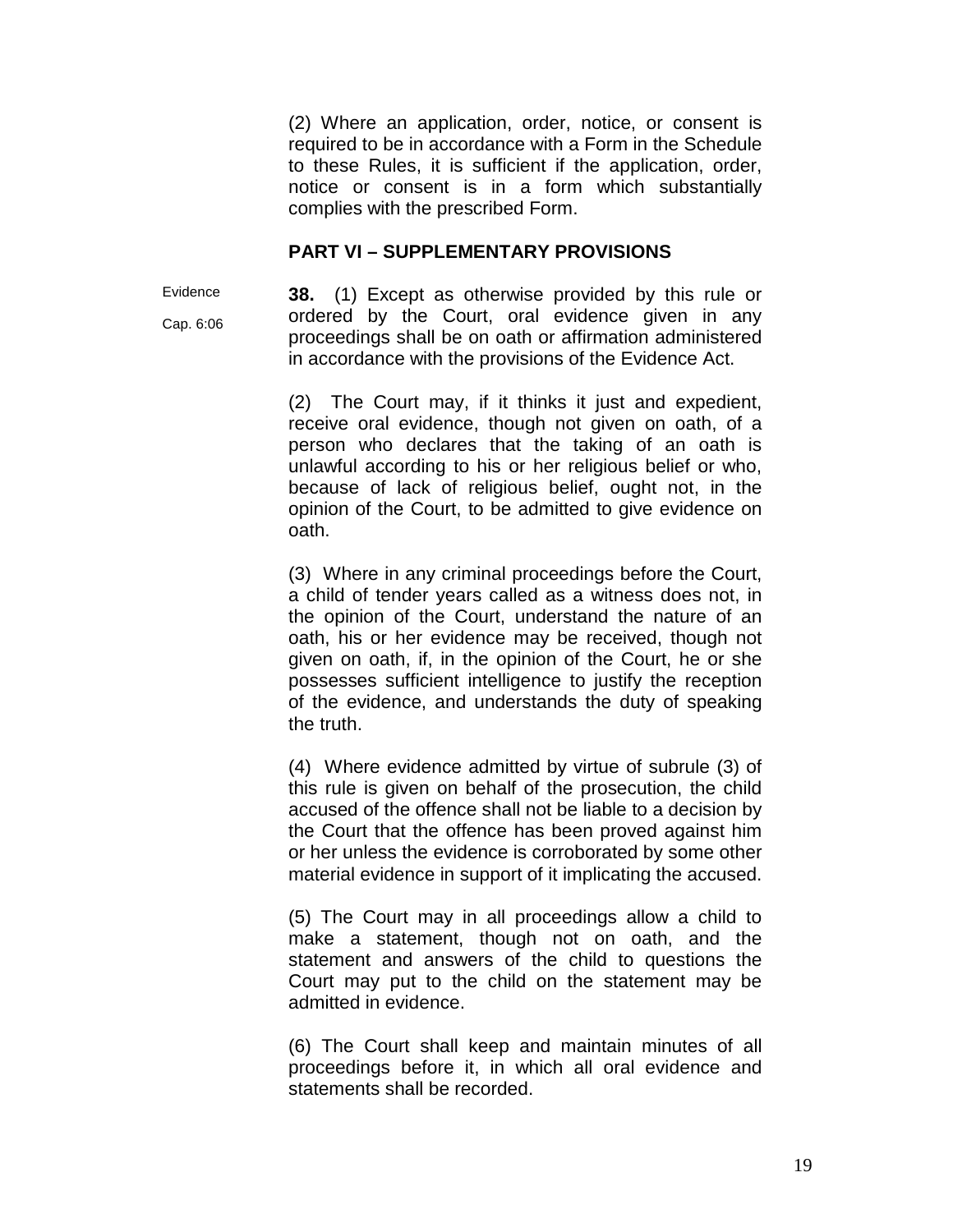(2) Where an application, order, notice, or consent is required to be in accordance with a Form in the Schedule to these Rules, it is sufficient if the application, order, notice or consent is in a form which substantially complies with the prescribed Form.

#### **PART VI – SUPPLEMENTARY PROVISIONS**

Evidence Cap. 6:06 **38.** (1) Except as otherwise provided by this rule or ordered by the Court, oral evidence given in any proceedings shall be on oath or affirmation administered in accordance with the provisions of the Evidence Act.

(2) The Court may, if it thinks it just and expedient, receive oral evidence, though not given on oath, of a person who declares that the taking of an oath is unlawful according to his or her religious belief or who, because of lack of religious belief, ought not, in the opinion of the Court, to be admitted to give evidence on oath.

(3) Where in any criminal proceedings before the Court, a child of tender years called as a witness does not, in the opinion of the Court, understand the nature of an oath, his or her evidence may be received, though not given on oath, if, in the opinion of the Court, he or she possesses sufficient intelligence to justify the reception of the evidence, and understands the duty of speaking the truth.

(4) Where evidence admitted by virtue of subrule (3) of this rule is given on behalf of the prosecution, the child accused of the offence shall not be liable to a decision by the Court that the offence has been proved against him or her unless the evidence is corroborated by some other material evidence in support of it implicating the accused.

(5) The Court may in all proceedings allow a child to make a statement, though not on oath, and the statement and answers of the child to questions the Court may put to the child on the statement may be admitted in evidence.

(6) The Court shall keep and maintain minutes of all proceedings before it, in which all oral evidence and statements shall be recorded.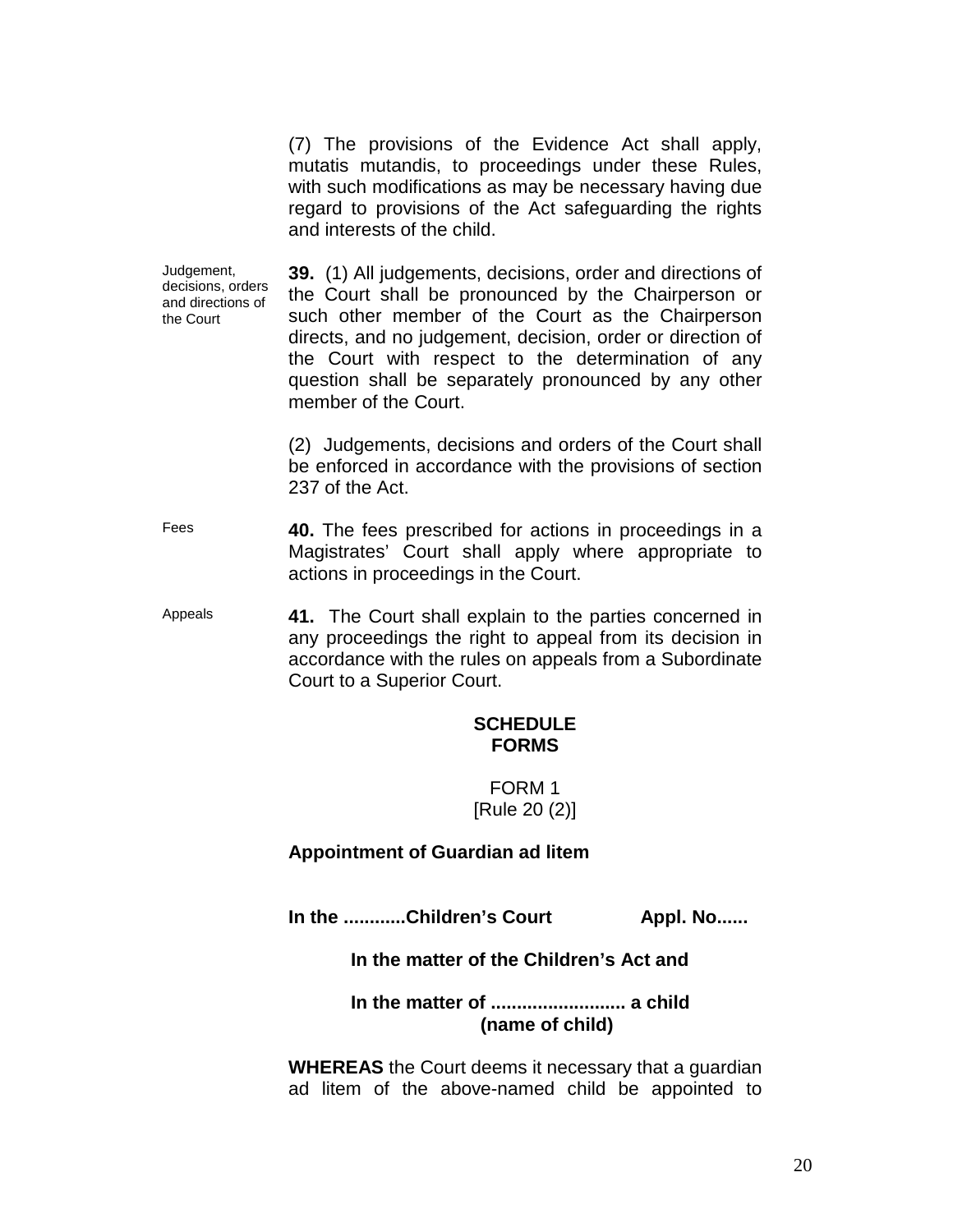(7) The provisions of the Evidence Act shall apply, mutatis mutandis, to proceedings under these Rules, with such modifications as may be necessary having due regard to provisions of the Act safeguarding the rights and interests of the child.

Judgement, decisions, orders and directions of the Court **39.** (1) All judgements, decisions, order and directions of the Court shall be pronounced by the Chairperson or such other member of the Court as the Chairperson directs, and no judgement, decision, order or direction of the Court with respect to the determination of any question shall be separately pronounced by any other member of the Court.

> (2) Judgements, decisions and orders of the Court shall be enforced in accordance with the provisions of section 237 of the Act.

Fees **40.** The fees prescribed for actions in proceedings in a Magistrates' Court shall apply where appropriate to actions in proceedings in the Court.

Appeals **41.** The Court shall explain to the parties concerned in any proceedings the right to appeal from its decision in accordance with the rules on appeals from a Subordinate Court to a Superior Court.

#### **SCHEDULE FORMS**

FORM 1 [Rule 20 (2)]

**Appointment of Guardian ad litem**

In the ............Children's Court Appl. No......

## **In the matter of the Children's Act and**

#### **In the matter of .......................... a child (name of child)**

**WHEREAS** the Court deems it necessary that a guardian ad litem of the above-named child be appointed to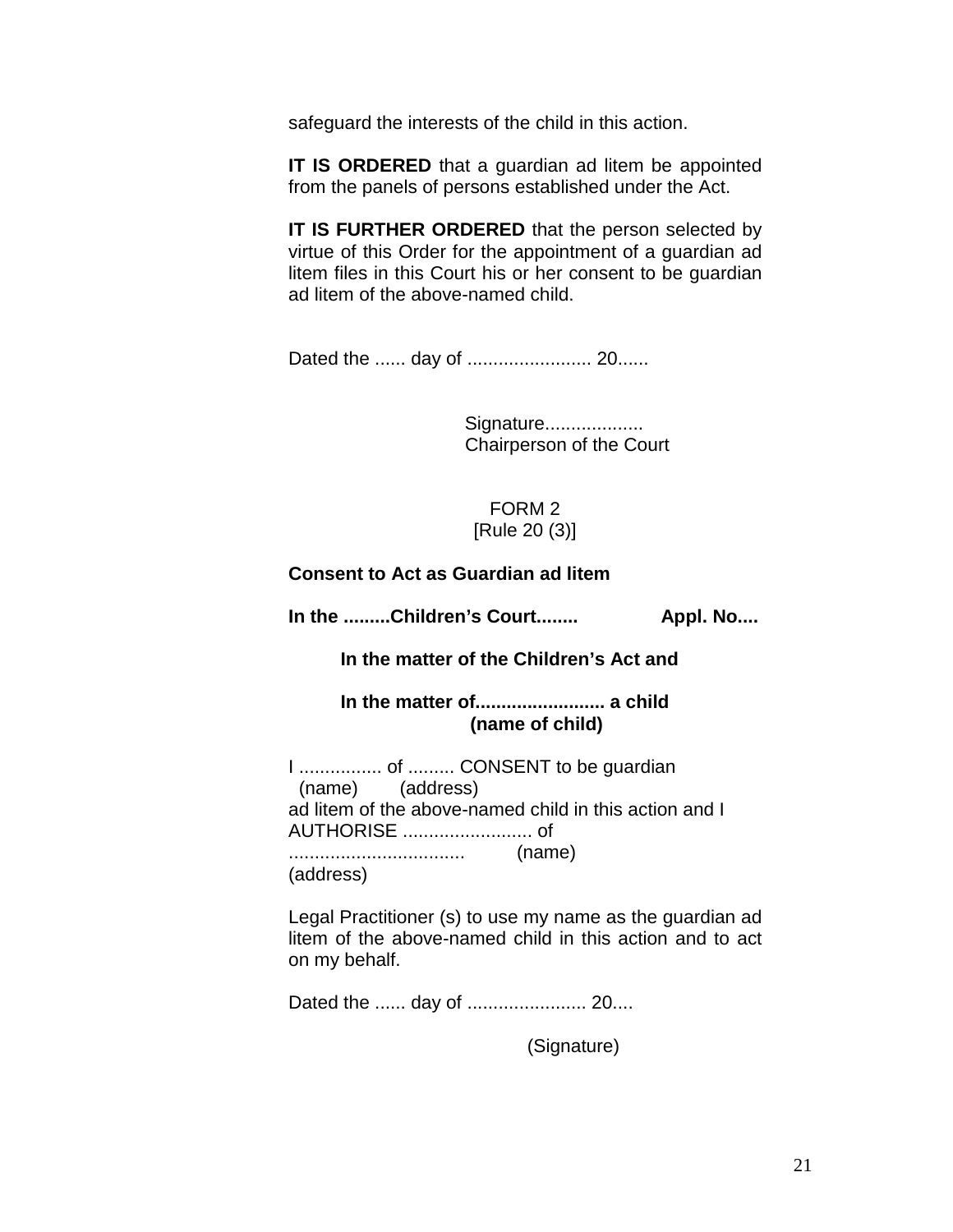safeguard the interests of the child in this action.

**IT IS ORDERED** that a guardian ad litem be appointed from the panels of persons established under the Act.

**IT IS FURTHER ORDERED** that the person selected by virtue of this Order for the appointment of a guardian ad litem files in this Court his or her consent to be guardian ad litem of the above-named child.

Dated the ...... day of ........................ 20......

Signature................... Chairperson of the Court

FORM 2 [Rule 20 (3)]

**Consent to Act as Guardian ad litem**

**In the .........Children's Court........ Appl. No....**

 **In the matter of the Children's Act and**

 **In the matter of......................... a child (name of child)**

I ................ of ......... CONSENT to be guardian (name) (address) ad litem of the above-named child in this action and I AUTHORISE ......................... of .................................. (name) (address)

Legal Practitioner (s) to use my name as the guardian ad litem of the above-named child in this action and to act on my behalf.

Dated the ...... day of ....................... 20....

(Signature)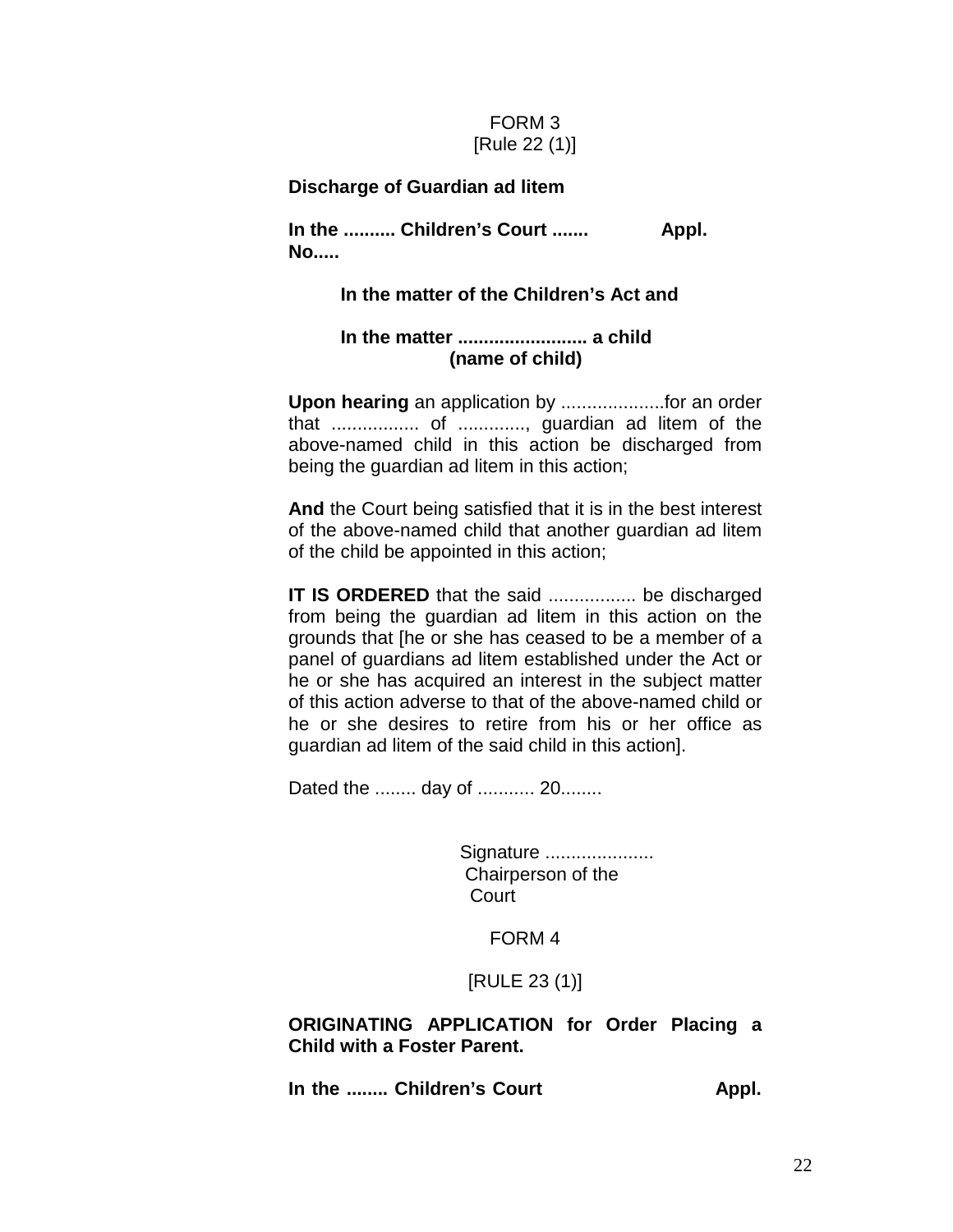## FORM 3 [Rule 22 (1)]

#### **Discharge of Guardian ad litem**

**In the .......... Children's Court ....... Appl. No.....**

#### **In the matter of the Children's Act and**

#### **In the matter ......................... a child (name of child)**

**Upon hearing** an application by ....................for an order that ................. of ............., guardian ad litem of the above-named child in this action be discharged from being the guardian ad litem in this action;

**And** the Court being satisfied that it is in the best interest of the above-named child that another guardian ad litem of the child be appointed in this action;

**IT IS ORDERED** that the said ................... be discharged from being the guardian ad litem in this action on the grounds that [he or she has ceased to be a member of a panel of guardians ad litem established under the Act or he or she has acquired an interest in the subject matter of this action adverse to that of the above-named child or he or she desires to retire from his or her office as guardian ad litem of the said child in this action].

Dated the ........ day of ........... 20........

Signature ...................... Chairperson of the Court

#### FORM 4

[RULE 23 (1)]

#### **ORIGINATING APPLICATION for Order Placing a Child with a Foster Parent.**

In the ........ Children's Court **Appl.**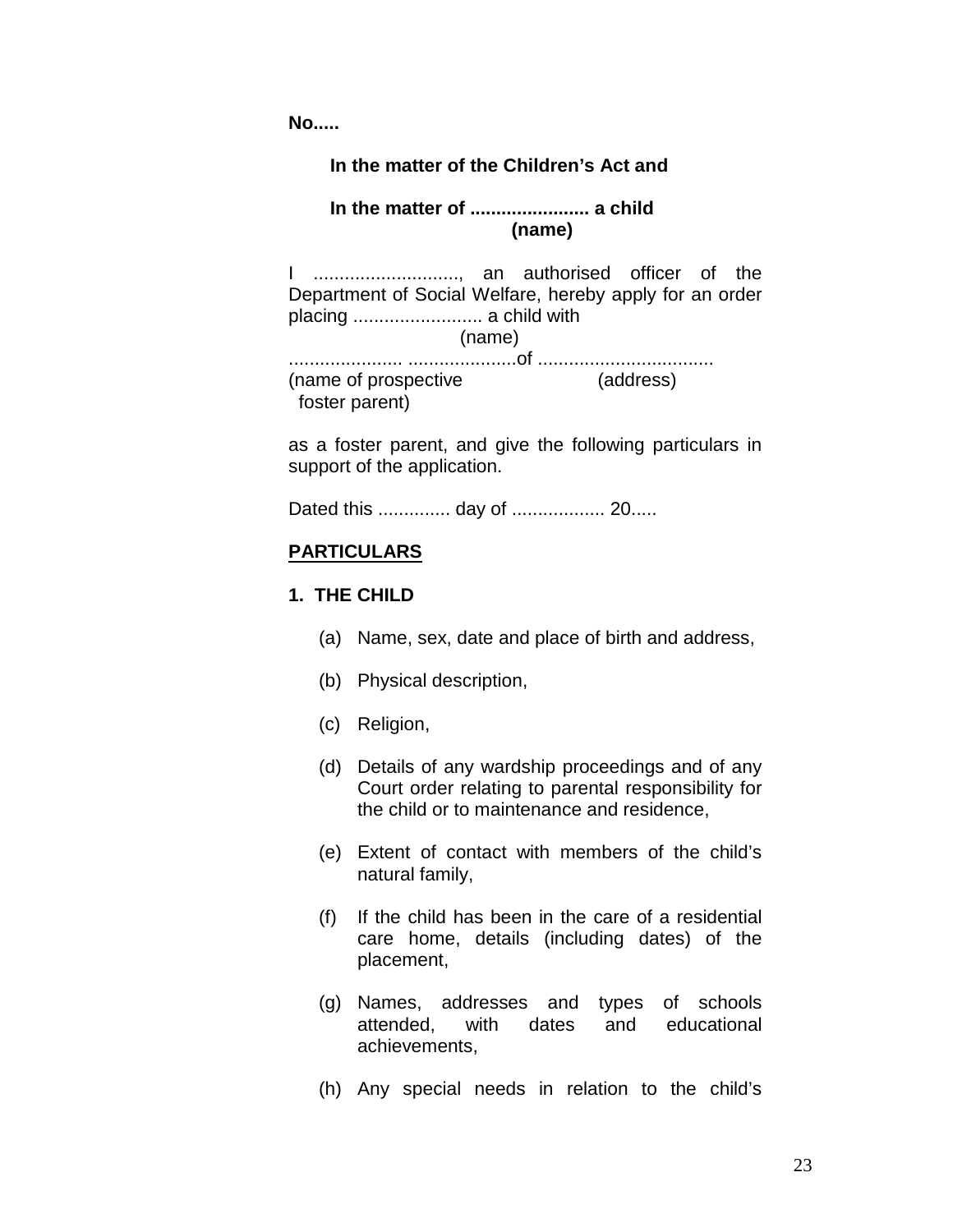**No.....** 

#### **In the matter of the Children's Act and**

## **In the matter of ....................... a child (name)**

I ............................, an authorised officer of the Department of Social Welfare, hereby apply for an order placing ......................... a child with (name) ...................... .....................of .................................. (name of prospective (address) foster parent)

as a foster parent, and give the following particulars in support of the application.

Dated this .............. day of .................. 20.....

#### **PARTICULARS**

#### **1. THE CHILD**

- (a) Name, sex, date and place of birth and address,
- (b) Physical description,
- (c) Religion,
- (d) Details of any wardship proceedings and of any Court order relating to parental responsibility for the child or to maintenance and residence,
- (e) Extent of contact with members of the child's natural family,
- (f) If the child has been in the care of a residential care home, details (including dates) of the placement,
- (g) Names, addresses and types of schools attended, with dates and educational achievements,
- (h) Any special needs in relation to the child's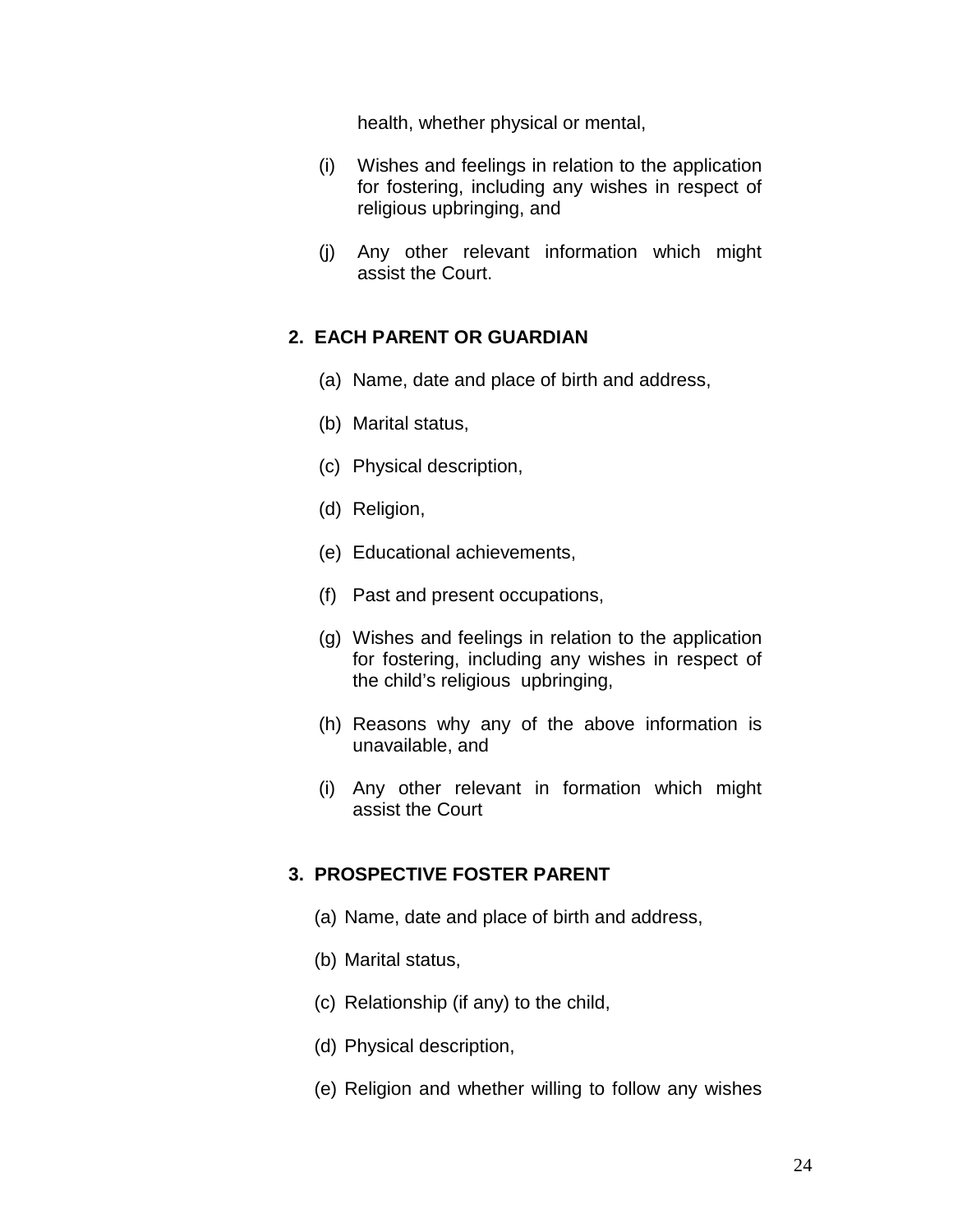health, whether physical or mental,

- (i) Wishes and feelings in relation to the application for fostering, including any wishes in respect of religious upbringing, and
- (j) Any other relevant information which might assist the Court.

## **2. EACH PARENT OR GUARDIAN**

- (a) Name, date and place of birth and address,
- (b) Marital status,
- (c) Physical description,
- (d) Religion,
- (e) Educational achievements,
- (f) Past and present occupations,
- (g) Wishes and feelings in relation to the application for fostering, including any wishes in respect of the child's religious upbringing,
- (h) Reasons why any of the above information is unavailable, and
- (i) Any other relevant in formation which might assist the Court

## **3. PROSPECTIVE FOSTER PARENT**

- (a) Name, date and place of birth and address,
- (b) Marital status,
- (c) Relationship (if any) to the child,
- (d) Physical description,
- (e) Religion and whether willing to follow any wishes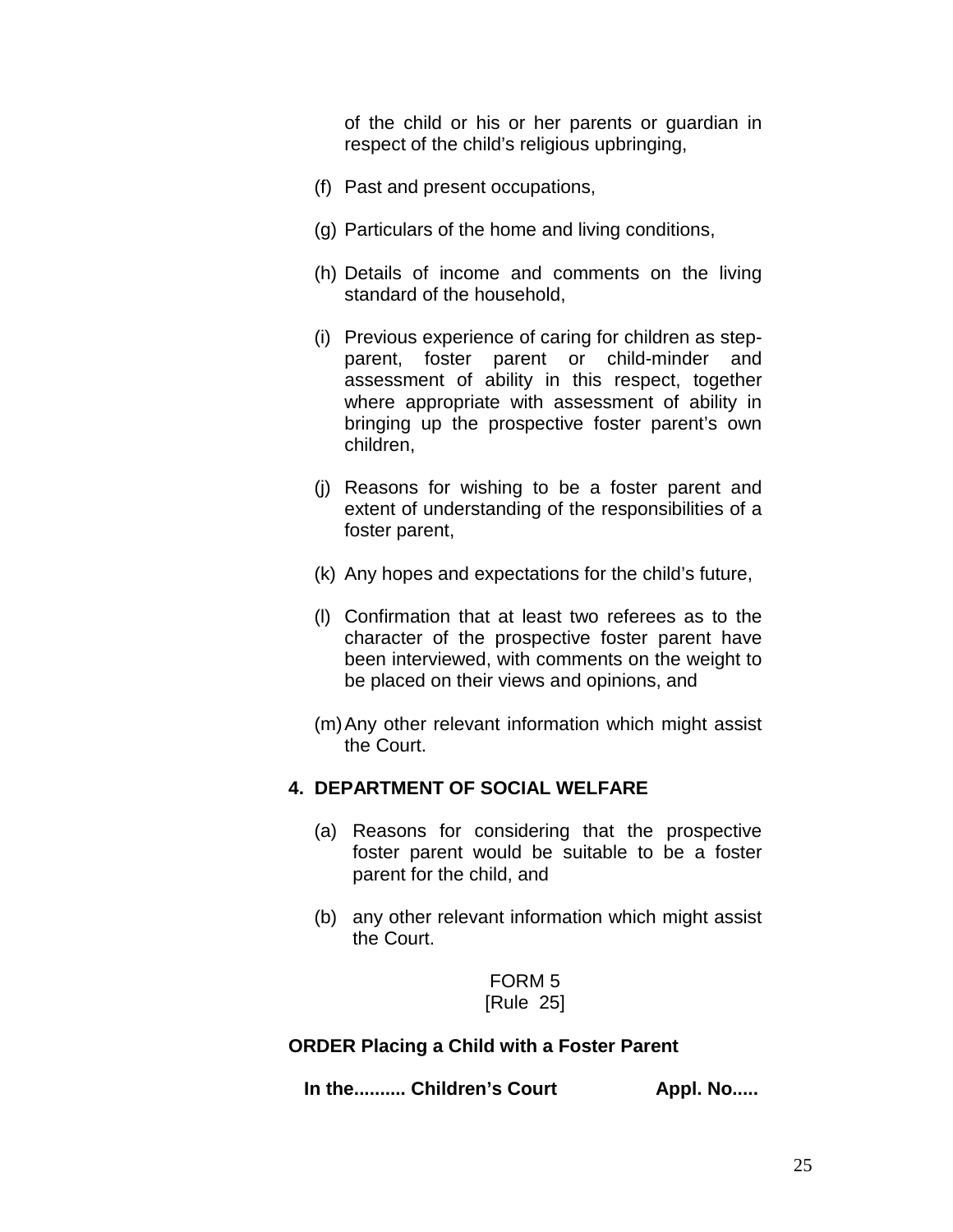of the child or his or her parents or guardian in respect of the child's religious upbringing,

- (f) Past and present occupations,
- (g) Particulars of the home and living conditions,
- (h) Details of income and comments on the living standard of the household,
- (i) Previous experience of caring for children as stepparent, foster parent or child-minder and assessment of ability in this respect, together where appropriate with assessment of ability in bringing up the prospective foster parent's own children,
- (j) Reasons for wishing to be a foster parent and extent of understanding of the responsibilities of a foster parent,
- (k) Any hopes and expectations for the child's future,
- (l) Confirmation that at least two referees as to the character of the prospective foster parent have been interviewed, with comments on the weight to be placed on their views and opinions, and
- (m)Any other relevant information which might assist the Court.

## **4. DEPARTMENT OF SOCIAL WELFARE**

- (a) Reasons for considering that the prospective foster parent would be suitable to be a foster parent for the child, and
- (b) any other relevant information which might assist the Court.

FORM 5 [Rule 25]

#### **ORDER Placing a Child with a Foster Parent**

In the.......... Children's Court **Appl. No.....**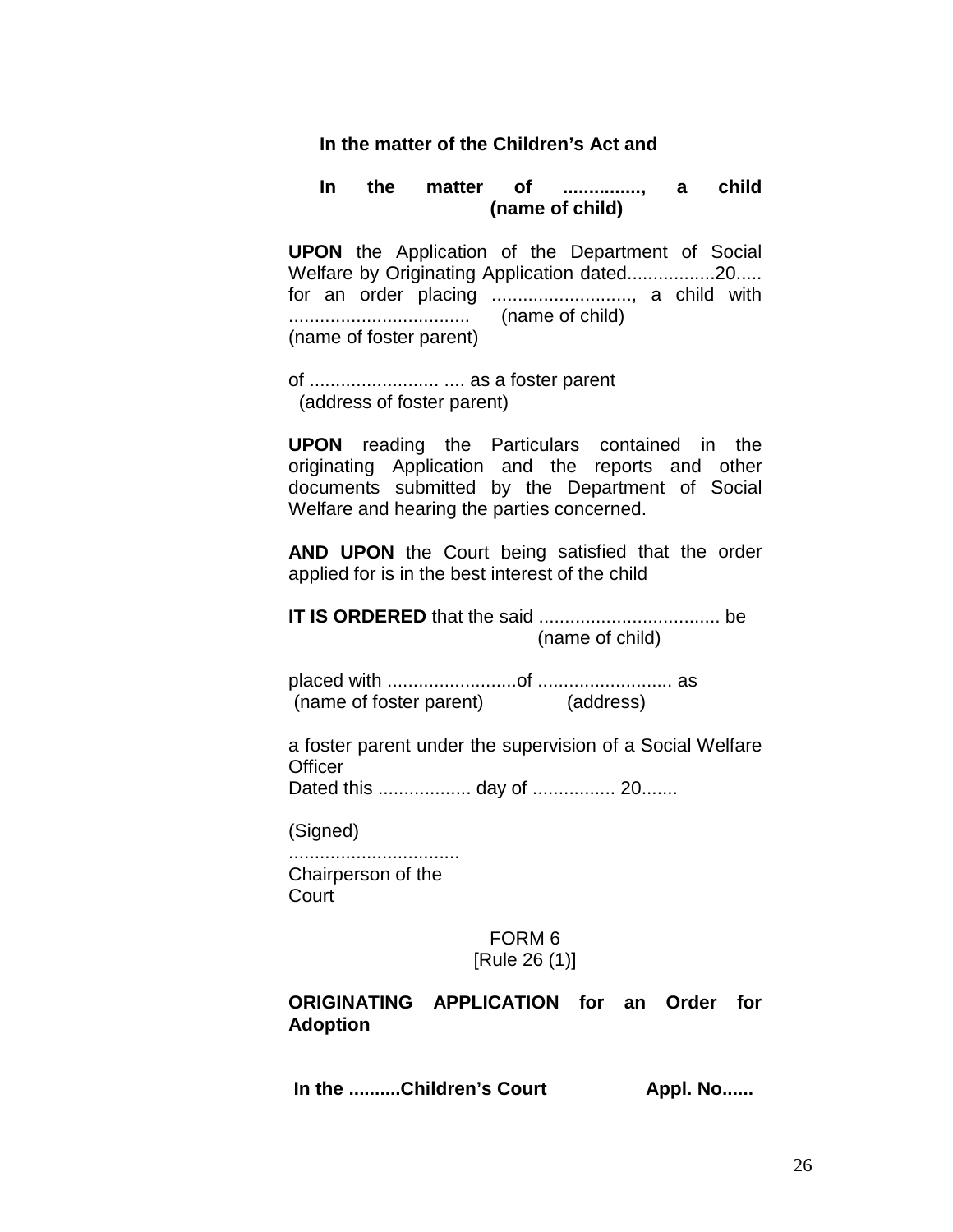#### **In the matter of the Children's Act and**

#### **In the matter of ..............., a child (name of child)**

**UPON** the Application of the Department of Social Welfare by Originating Application dated.................20..... for an order placing ..........................., a child with ................................... (name of child) (name of foster parent)

of ......................... .... as a foster parent (address of foster parent)

**UPON** reading the Particulars contained in the originating Application and the reports and other documents submitted by the Department of Social Welfare and hearing the parties concerned.

**AND UPON** the Court being satisfied that the order applied for is in the best interest of the child

**IT IS ORDERED** that the said ................................... be (name of child)

placed with .........................of .......................... as (name of foster parent) (address)

a foster parent under the supervision of a Social Welfare **Officer** 

Dated this .................. day of ................ 20.......

(Signed)

................................. Chairperson of the **Court** 

#### FORM 6 [Rule 26 (1)]

## **ORIGINATING APPLICATION for an Order for Adoption**

In the ..........Children's Court **Appl. No......**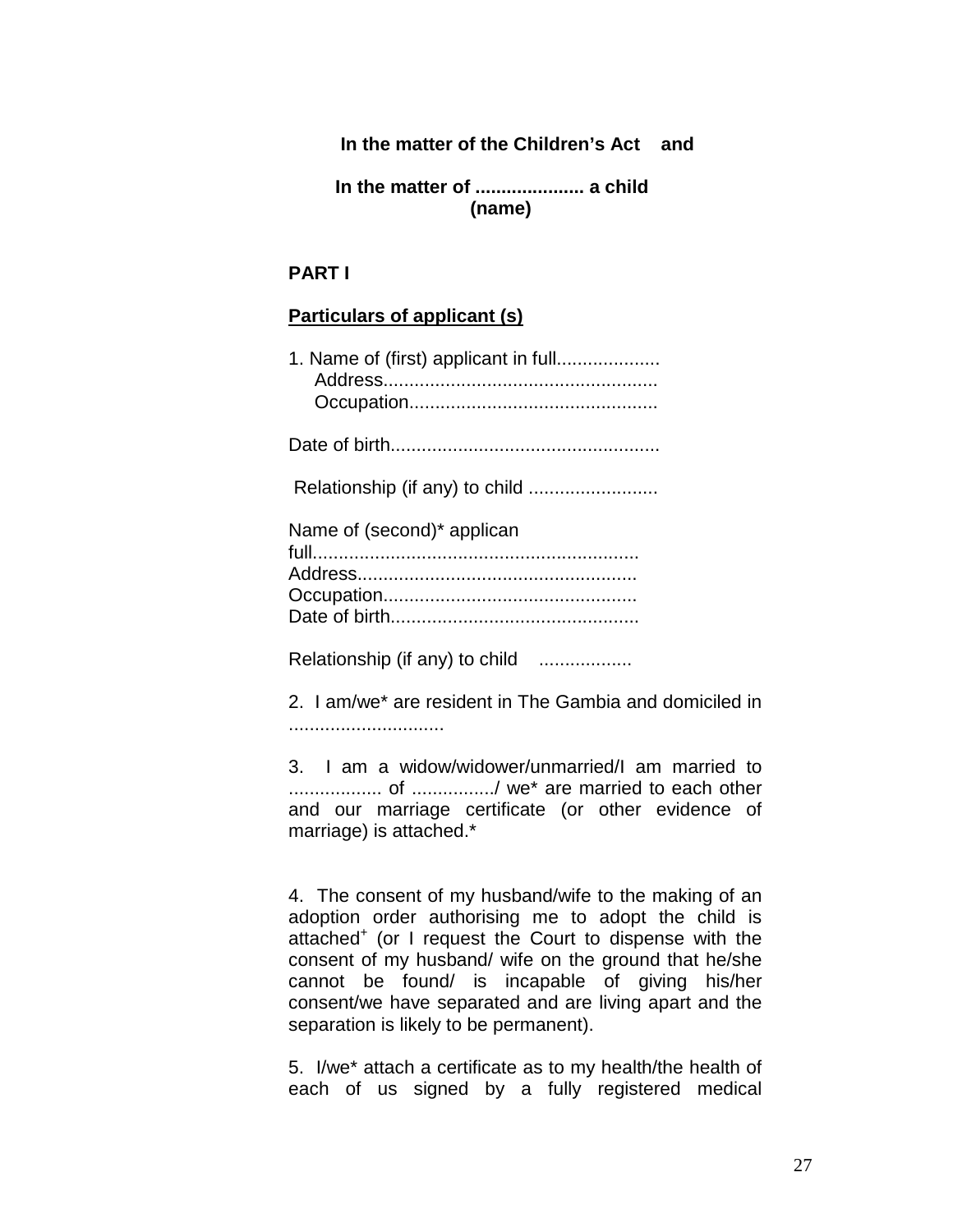### **In the matter of the Children's Act and**

 **In the matter of ..................... a child (name)**

#### **PART I**

#### **Particulars of applicant (s)**

| 1. Name of (first) applicant in full |
|--------------------------------------|
|                                      |
|                                      |
| Name of (second)* applican           |

Relationship (if any) to child ...................

2. I am/we\* are resident in The Gambia and domiciled in ..............................

3. I am a widow/widower/unmarried/I am married to .................. of ................/ we\* are married to each other and our marriage certificate (or other evidence of marriage) is attached.\*

4. The consent of my husband/wife to the making of an adoption order authorising me to adopt the child is attached<sup>+</sup> (or I request the Court to dispense with the consent of my husband/ wife on the ground that he/she cannot be found/ is incapable of giving his/her consent/we have separated and are living apart and the separation is likely to be permanent).

5. I/we\* attach a certificate as to my health/the health of each of us signed by a fully registered medical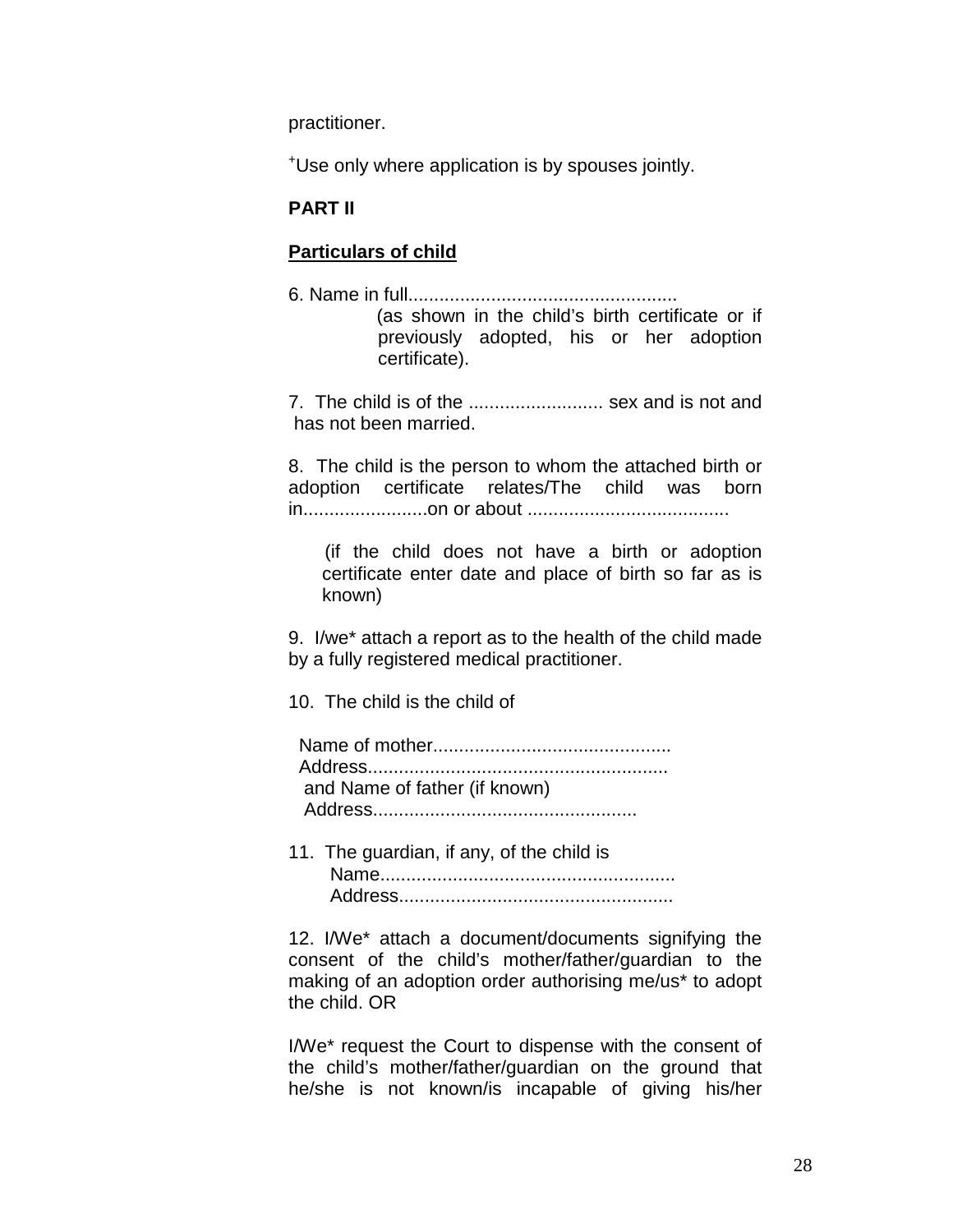practitioner.

+ Use only where application is by spouses jointly.

## **PART II**

# **Particulars of child**

6. Name in full.................................................... (as shown in the child's birth certificate or if previously adopted, his or her adoption certificate).

7. The child is of the .......................... sex and is not and has not been married.

8. The child is the person to whom the attached birth or adoption certificate relates/The child was born in........................on or about .......................................

 (if the child does not have a birth or adoption certificate enter date and place of birth so far as is known)

9. I/we\* attach a report as to the health of the child made by a fully registered medical practitioner.

10. The child is the child of

| and Name of father (if known) |
|-------------------------------|
|                               |

11. The guardian, if any, of the child is Name......................................................... Address.....................................................

12. I/We\* attach a document/documents signifying the consent of the child's mother/father/guardian to the making of an adoption order authorising me/us\* to adopt the child. OR

I/We\* request the Court to dispense with the consent of the child's mother/father/guardian on the ground that he/she is not known/is incapable of giving his/her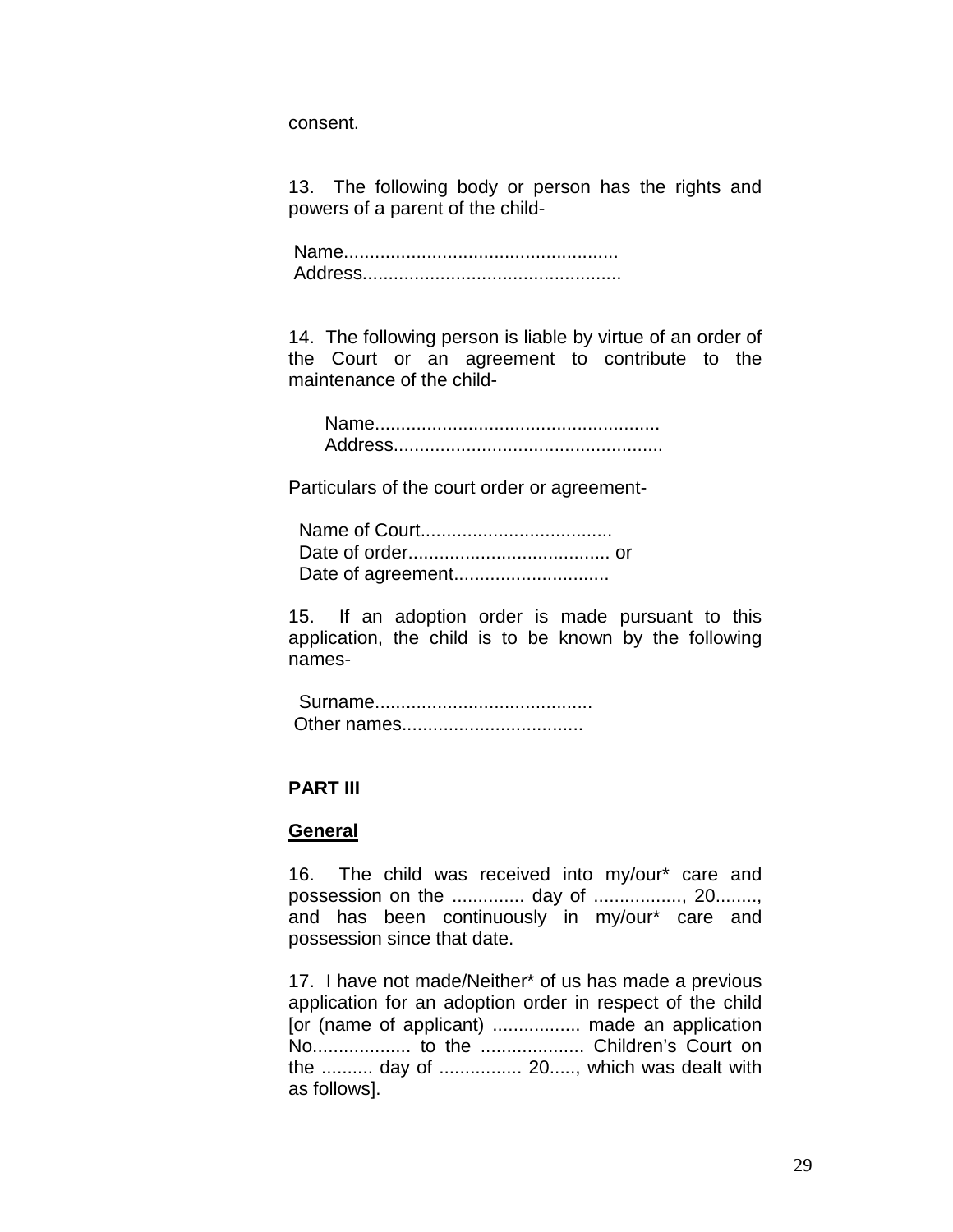consent.

13. The following body or person has the rights and powers of a parent of the child-

Name..................................................... Address..................................................

14. The following person is liable by virtue of an order of the Court or an agreement to contribute to the maintenance of the child-

 Name....................................................... Address....................................................

Particulars of the court order or agreement-

 Name of Court..................................... Date of order....................................... or Date of agreement..............................

15. If an adoption order is made pursuant to this application, the child is to be known by the following names-

 Surname.......................................... Other names...................................

## **PART III**

#### **General**

16. The child was received into my/our\* care and possession on the .............. day of ................., 20........, and has been continuously in my/our\* care and possession since that date.

17. I have not made/Neither\* of us has made a previous application for an adoption order in respect of the child [or (name of applicant) ................. made an application No................... to the .................... Children's Court on the .......... day of ................ 20....., which was dealt with as follows].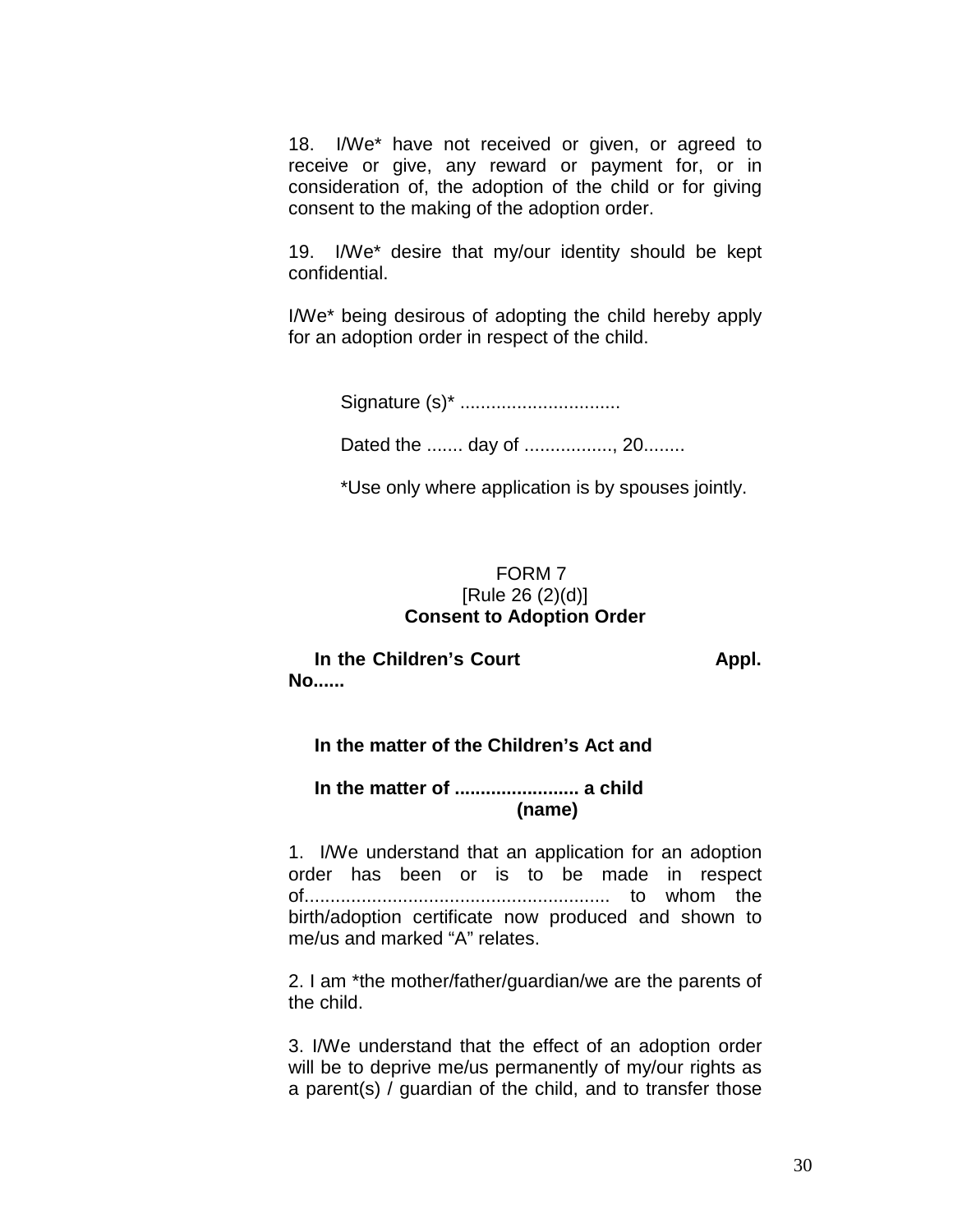18. I/We\* have not received or given, or agreed to receive or give, any reward or payment for, or in consideration of, the adoption of the child or for giving consent to the making of the adoption order.

19. I/We\* desire that my/our identity should be kept confidential.

I/We\* being desirous of adopting the child hereby apply for an adoption order in respect of the child.

Signature (s)\* ...............................

Dated the ....... day of ................., 20........

\*Use only where application is by spouses jointly.

## FORM 7 [Rule 26 (2)(d)] **Consent to Adoption Order**

In the Children's Court **Appl. No......** 

## **In the matter of the Children's Act and**

 **In the matter of ........................ a child (name)**

1. I/We understand that an application for an adoption order has been or is to be made in respect of........................................................... to whom the birth/adoption certificate now produced and shown to me/us and marked "A" relates.

2. I am \*the mother/father/guardian/we are the parents of the child.

3. I/We understand that the effect of an adoption order will be to deprive me/us permanently of my/our rights as a parent(s) / guardian of the child, and to transfer those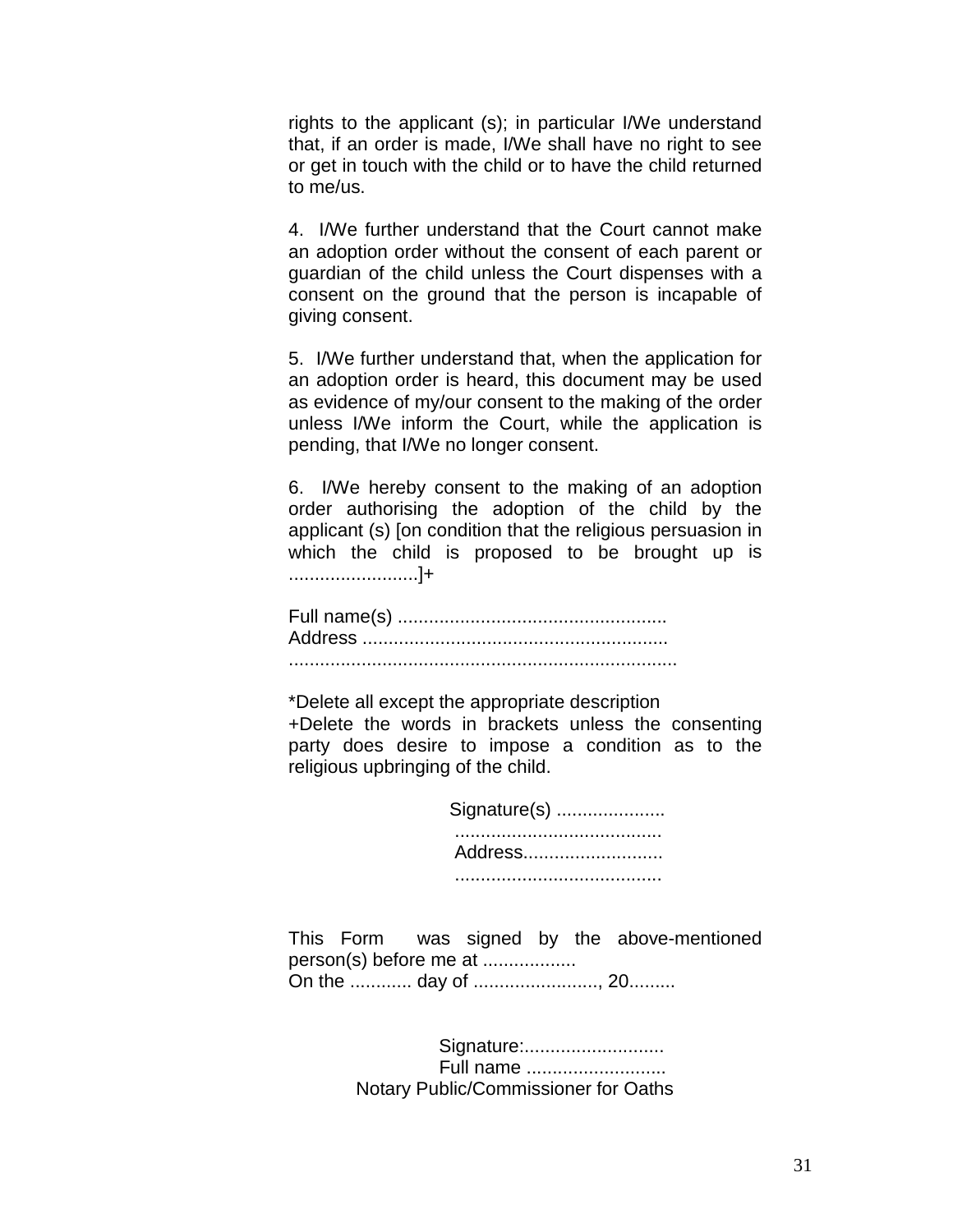rights to the applicant (s); in particular I/We understand that, if an order is made, I/We shall have no right to see or get in touch with the child or to have the child returned to me/us.

4. I/We further understand that the Court cannot make an adoption order without the consent of each parent or guardian of the child unless the Court dispenses with a consent on the ground that the person is incapable of giving consent.

5. I/We further understand that, when the application for an adoption order is heard, this document may be used as evidence of my/our consent to the making of the order unless I/We inform the Court, while the application is pending, that I/We no longer consent.

6. I/We hereby consent to the making of an adoption order authorising the adoption of the child by the applicant (s) [on condition that the religious persuasion in which the child is proposed to be brought up is .........................]+

Full name(s) .................................................... Address ........................................................... ...........................................................................

\*Delete all except the appropriate description +Delete the words in brackets unless the consenting party does desire to impose a condition as to the religious upbringing of the child.

> Signature(s) ..................... ........................................ Address........................... ........................................

This Form was signed by the above-mentioned person(s) before me at .................. On the ............ day of ........................, 20.........

> Signature:........................... Full name ........................... Notary Public/Commissioner for Oaths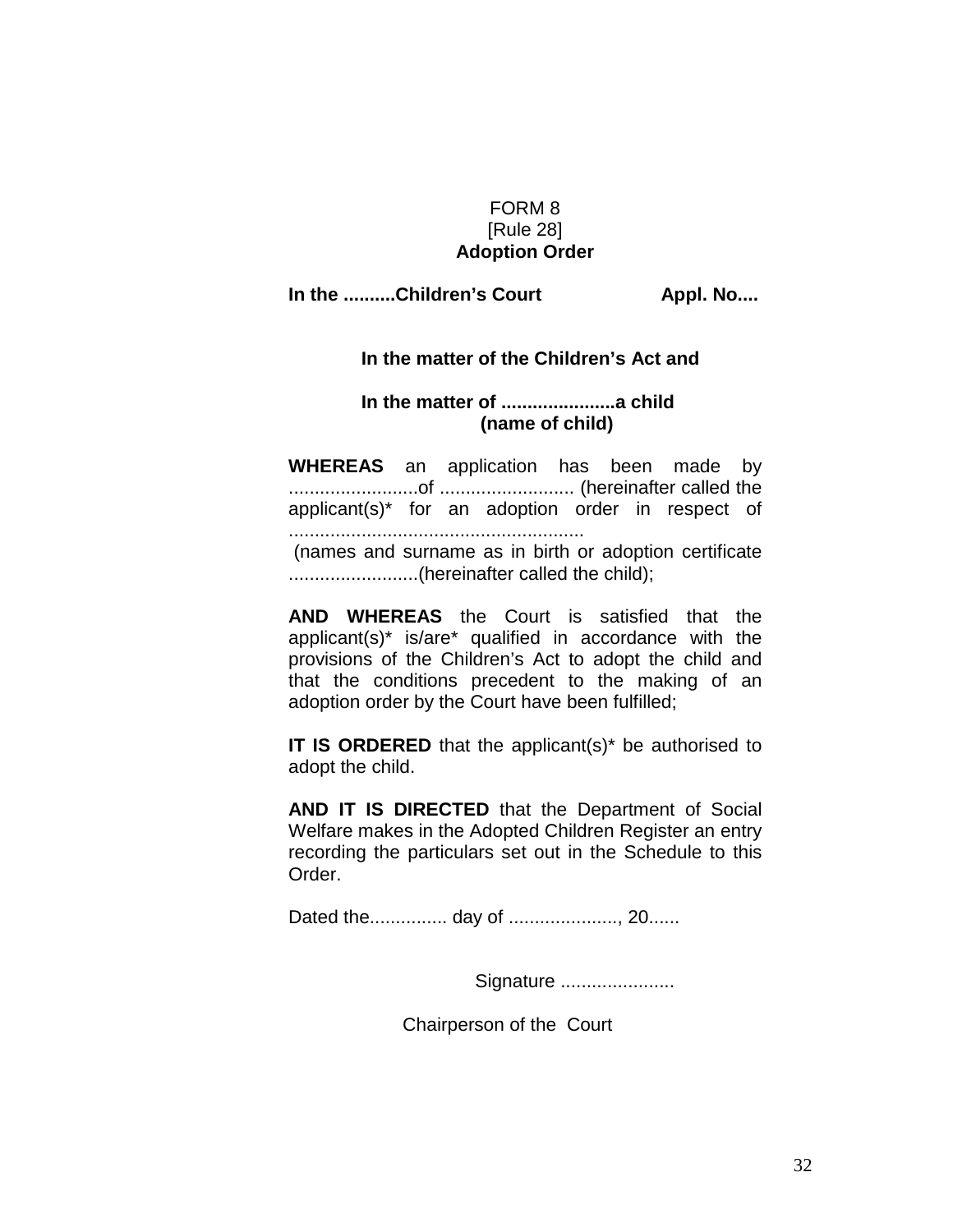## FORM 8 [Rule 28] **Adoption Order**

#### In the ..........Children's Court **Appl. No....**

#### **In the matter of the Children's Act and**

#### **In the matter of ......................a child (name of child)**

**WHEREAS** an application has been made by .........................of .......................... (hereinafter called the applicant(s)\* for an adoption order in respect of ......................................................... (names and surname as in birth or adoption certificate .........................(hereinafter called the child);

**AND WHEREAS** the Court is satisfied that the applicant(s)\* is/are\* qualified in accordance with the provisions of the Children's Act to adopt the child and that the conditions precedent to the making of an adoption order by the Court have been fulfilled;

**IT IS ORDERED** that the applicant(s)<sup>\*</sup> be authorised to adopt the child.

**AND IT IS DIRECTED** that the Department of Social Welfare makes in the Adopted Children Register an entry recording the particulars set out in the Schedule to this Order.

Dated the............... day of ....................., 20......

Signature ......................

Chairperson of the Court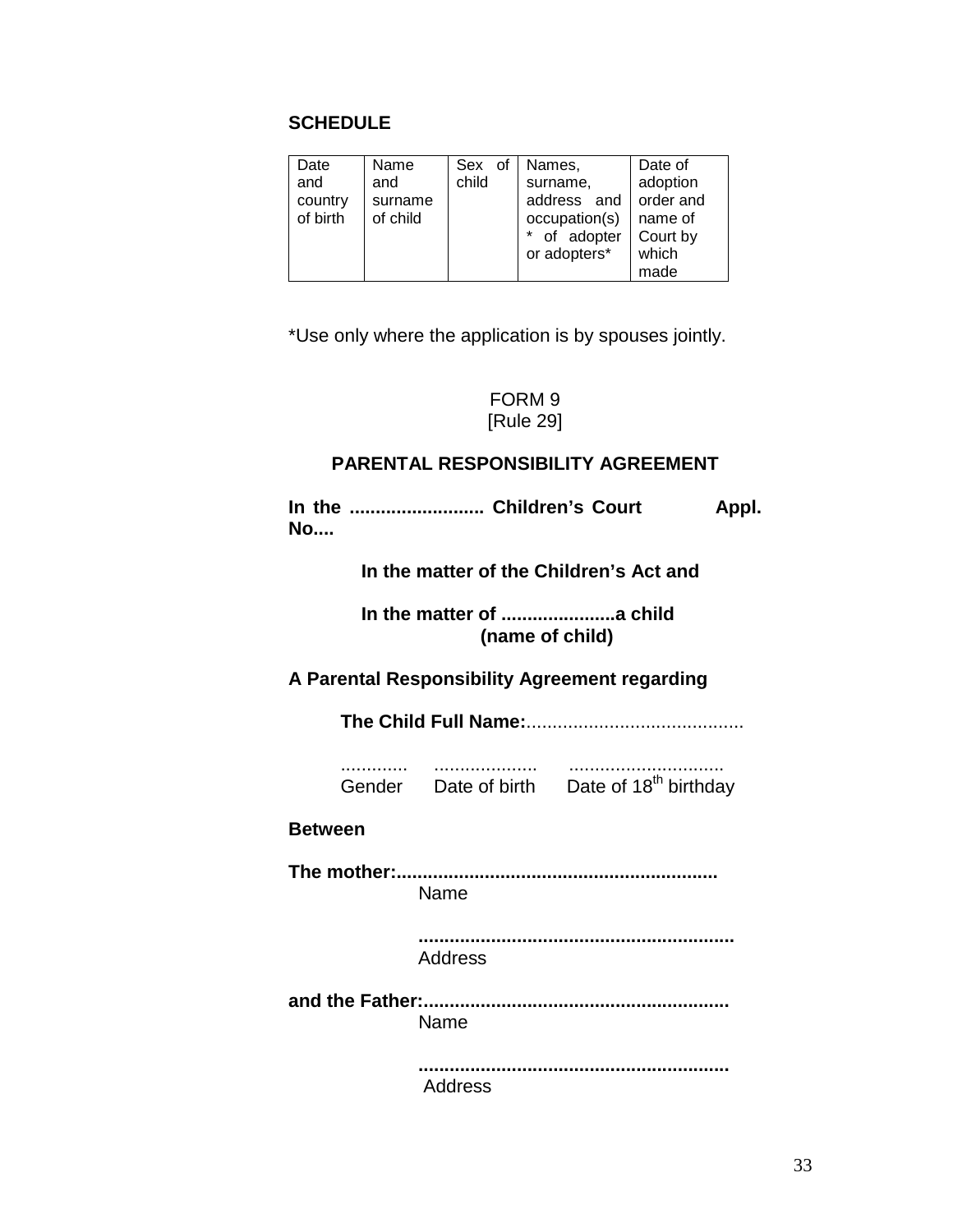## **SCHEDULE**

| Date     | Name     | Sex of | Names,        | Date of   |
|----------|----------|--------|---------------|-----------|
| and      | and      | child  | surname,      | adoption  |
| country  | surname  |        | address and   | order and |
| of birth | of child |        | occupation(s) | name of   |
|          |          |        | * of adopter  | Court by  |
|          |          |        | or adopters*  | which     |
|          |          |        |               | made      |

\*Use only where the application is by spouses jointly.

#### FORM 9 [Rule 29]

# **PARENTAL RESPONSIBILITY AGREEMENT**

In the ............................ Children's Court **Appl. No....**

 **In the matter of the Children's Act and**

 **In the matter of ......................a child (name of child)**

#### **A Parental Responsibility Agreement regarding**

**The Child Full Name:**..........................................

 ............. .................... .............................. Gender Date of birth Date of  $18<sup>th</sup>$  birthday

#### **Between**

**The mother:..............................................................** Name

> **.............................................................** Address

**and the Father:...........................................................** Name

> **............................................................** Address

> > 33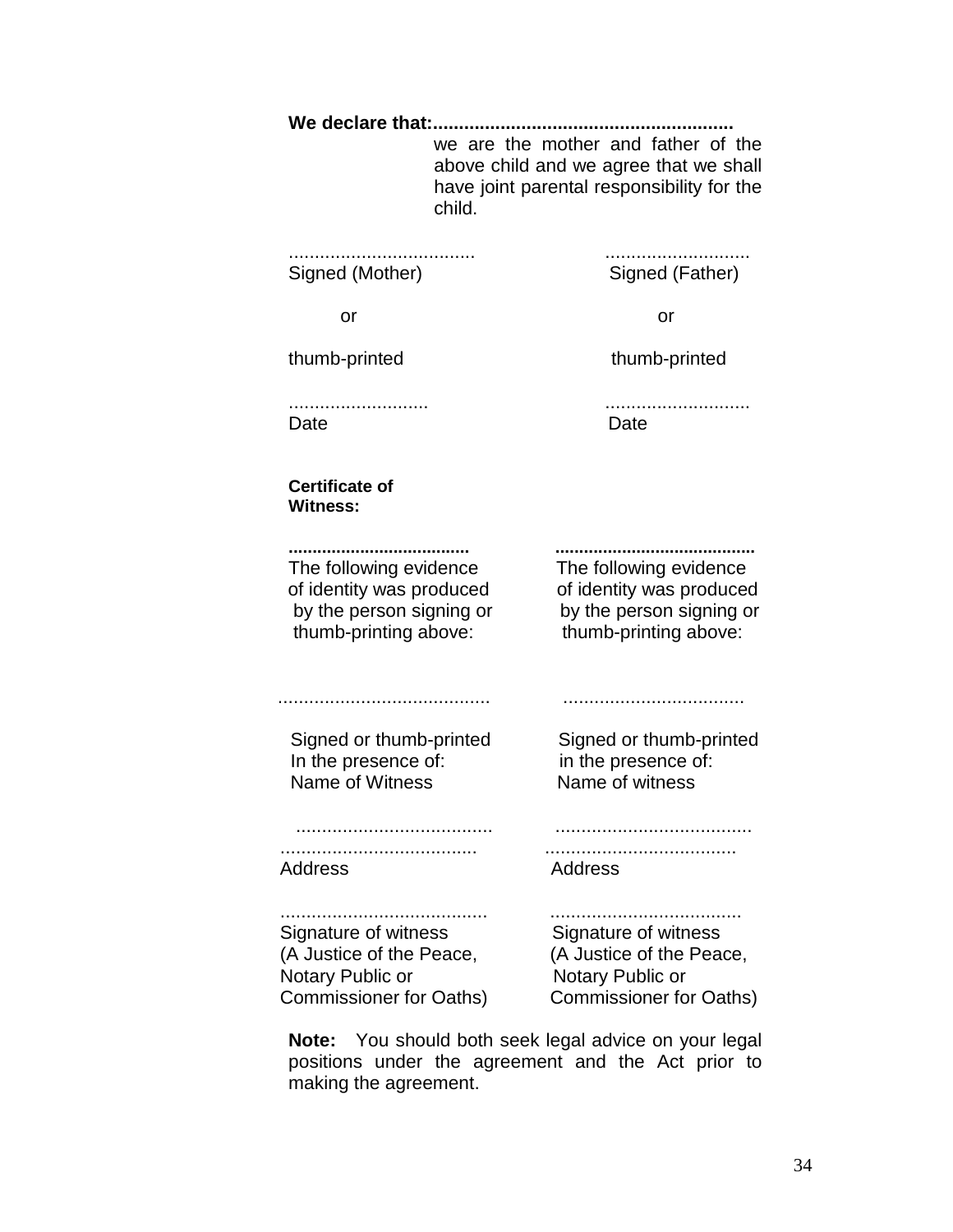**We declare that:..........................................................** we are the mother and father of the above child and we agree that we shall have joint parental responsibility for the child.

.................................... ............................ Signed (Mother) Signed (Father)

or or

thumb-printed thumb-printed

........................... ............................ Date **Date** Date

**Certificate of Witness:**

**...................................... ..........................................** The following evidence The following evidence of identity was produced of identity was produced by the person signing or by the person signing or thumb-printing above: thumb-printing above:

......................................... ...................................

 Signed or thumb-printed Signed or thumb-printed In the presence of: in the presence of: Name of Witness Name of witness

 ...................................... ...................................... ...................................... ..................................... Address Address

........................................ ..................................... Signature of witness Signature of witness (A Justice of the Peace, (A Justice of the Peace, Notary Public or Notary Public or Commissioner for Oaths) Commissioner for Oaths)

**Note:** You should both seek legal advice on your legal positions under the agreement and the Act prior to making the agreement.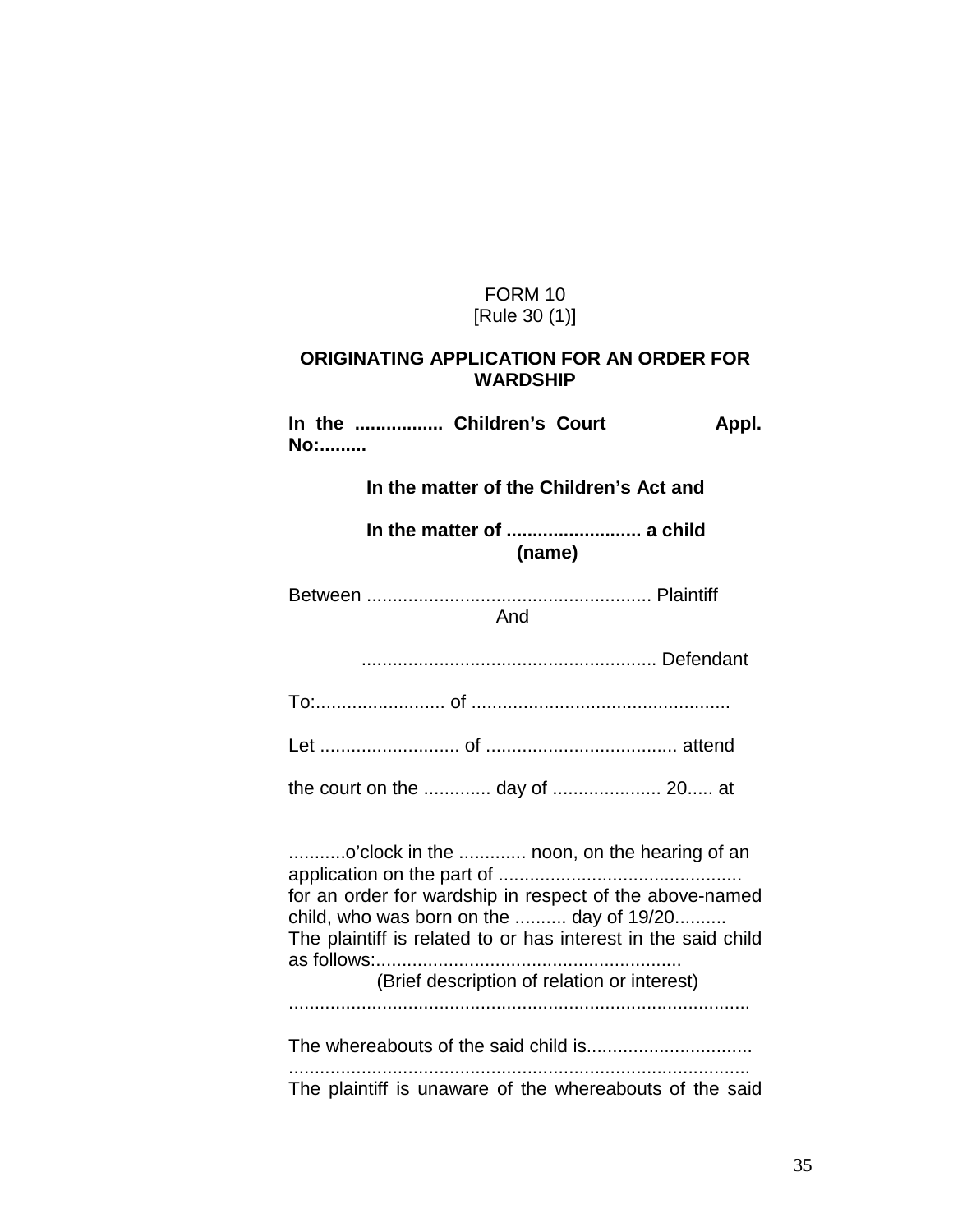## FORM 10 [Rule 30 (1)]

#### **ORIGINATING APPLICATION FOR AN ORDER FOR WARDSHIP**

In the ................. Children's Court **Appl. No:......... In the matter of the Children's Act and In the matter of .......................... a child (name)** Between ....................................................... Plaintiff And ......................................................... Defendant To:......................... of .................................................. Let ........................... of ..................................... attend the court on the ............. day of ..................... 20..... at

...........o'clock in the ............. noon, on the hearing of an application on the part of ............................................... for an order for wardship in respect of the above-named child, who was born on the .......... day of 19/20.......... The plaintiff is related to or has interest in the said child as follows:........................................................... (Brief description of relation or interest) .........................................................................................

The whereabouts of the said child is................................ ......................................................................................... The plaintiff is unaware of the whereabouts of the said